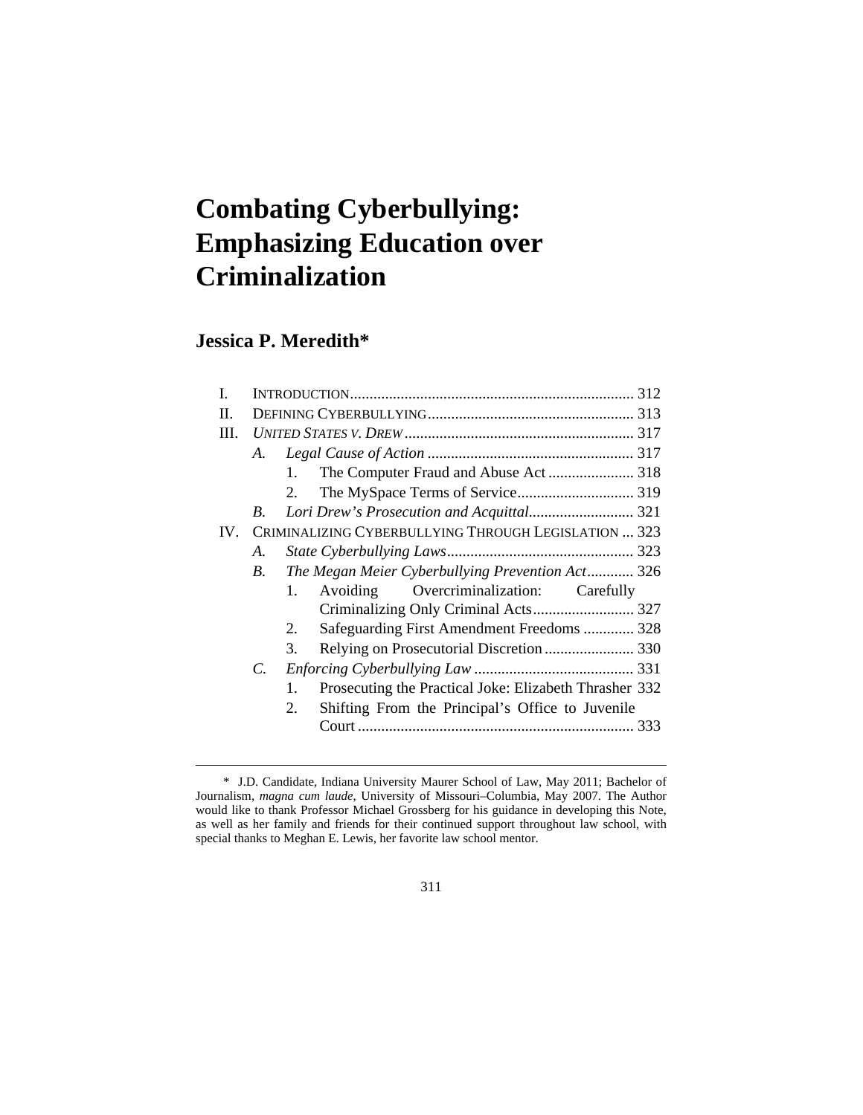# **Combating Cyberbullying: Emphasizing Education over Criminalization**

## **Jessica P. Meredith\***

| L        |                                                      |                |                                                        |  |  |
|----------|------------------------------------------------------|----------------|--------------------------------------------------------|--|--|
| H.       |                                                      |                |                                                        |  |  |
| III.     |                                                      |                |                                                        |  |  |
|          | A.                                                   |                |                                                        |  |  |
|          |                                                      | 1.             |                                                        |  |  |
|          |                                                      | 2.             |                                                        |  |  |
|          | B.                                                   |                | Lori Drew's Prosecution and Acquittal 321              |  |  |
| $IV_{-}$ | CRIMINALIZING CYBERBULLYING THROUGH LEGISLATION  323 |                |                                                        |  |  |
|          | А.                                                   |                |                                                        |  |  |
|          | $B_{\cdot}$                                          |                | The Megan Meier Cyberbullying Prevention Act 326       |  |  |
|          |                                                      | $1_{-}$        | Avoiding Overcriminalization: Carefully                |  |  |
|          |                                                      |                |                                                        |  |  |
|          |                                                      | 2.             | Safeguarding First Amendment Freedoms  328             |  |  |
|          |                                                      | 3.             | Relying on Prosecutorial Discretion  330               |  |  |
|          | $\mathcal{C}$ .                                      |                |                                                        |  |  |
|          |                                                      | $\mathbf{1}$ . | Prosecuting the Practical Joke: Elizabeth Thrasher 332 |  |  |
|          |                                                      | 2.             | Shifting From the Principal's Office to Juvenile       |  |  |
|          |                                                      |                |                                                        |  |  |
|          |                                                      |                |                                                        |  |  |

 <sup>\*</sup> J.D. Candidate, Indiana University Maurer School of Law, May 2011; Bachelor of Journalism, *magna cum laude*, University of Missouri–Columbia, May 2007. The Author would like to thank Professor Michael Grossberg for his guidance in developing this Note, as well as her family and friends for their continued support throughout law school, with special thanks to Meghan E. Lewis, her favorite law school mentor.

<sup>311</sup>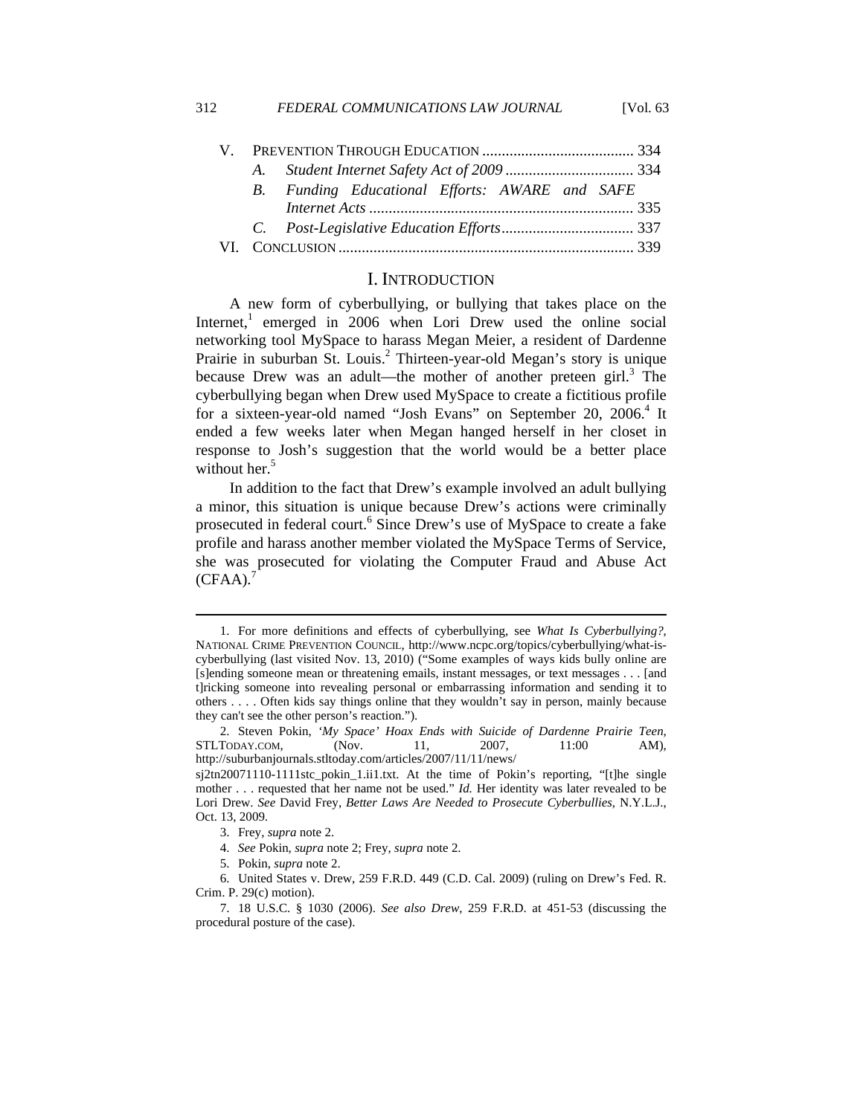|  | B. Funding Educational Efforts: AWARE and SAFE |  |  |  |  |
|--|------------------------------------------------|--|--|--|--|
|  |                                                |  |  |  |  |
|  |                                                |  |  |  |  |
|  |                                                |  |  |  |  |
|  |                                                |  |  |  |  |

## I. INTRODUCTION

A new form of cyberbullying, or bullying that takes place on the Internet,<sup>1</sup> emerged in 2006 when Lori Drew used the online social networking tool MySpace to harass Megan Meier, a resident of Dardenne Prairie in suburban St. Louis.<sup>2</sup> Thirteen-year-old Megan's story is unique because Drew was an adult—the mother of another preteen girl.<sup>3</sup> The cyberbullying began when Drew used MySpace to create a fictitious profile for a sixteen-year-old named "Josh Evans" on September 20, 2006.<sup>4</sup> It ended a few weeks later when Megan hanged herself in her closet in response to Josh's suggestion that the world would be a better place without her.<sup>5</sup>

In addition to the fact that Drew's example involved an adult bullying a minor, this situation is unique because Drew's actions were criminally prosecuted in federal court.<sup>6</sup> Since Drew's use of MySpace to create a fake profile and harass another member violated the MySpace Terms of Service, she was prosecuted for violating the Computer Fraud and Abuse Act  $(CFAA).$ <sup>7</sup>

 <sup>1.</sup> For more definitions and effects of cyberbullying, see *What Is Cyberbullying?*, NATIONAL CRIME PREVENTION COUNCIL, http://www.ncpc.org/topics/cyberbullying/what-iscyberbullying (last visited Nov. 13, 2010) ("Some examples of ways kids bully online are [s]ending someone mean or threatening emails, instant messages, or text messages . . . [and t]ricking someone into revealing personal or embarrassing information and sending it to others . . . . Often kids say things online that they wouldn't say in person, mainly because they can't see the other person's reaction.").

 <sup>2.</sup> Steven Pokin, *'My Space' Hoax Ends with Suicide of Dardenne Prairie Teen*, STLTODAY.COM, (Nov. 11, 2007, 11:00 AM), http://suburbanjournals.stltoday.com/articles/2007/11/11/news/

sj2tn20071110-1111stc\_pokin\_1.ii1.txt. At the time of Pokin's reporting, "[t]he single mother . . . requested that her name not be used." *Id.* Her identity was later revealed to be Lori Drew. *See* David Frey, *Better Laws Are Needed to Prosecute Cyberbullies*, N.Y.L.J., Oct. 13, 2009.

 <sup>3.</sup> Frey, *supra* note 2.

 <sup>4.</sup> *See* Pokin, *supra* note 2; Frey, *supra* note 2.

 <sup>5.</sup> Pokin, *supra* note 2.

 <sup>6.</sup> United States v. Drew, 259 F.R.D. 449 (C.D. Cal. 2009) (ruling on Drew's Fed. R. Crim. P. 29(c) motion).

 <sup>7. 18</sup> U.S.C. § 1030 (2006). *See also Drew*, 259 F.R.D. at 451-53 (discussing the procedural posture of the case).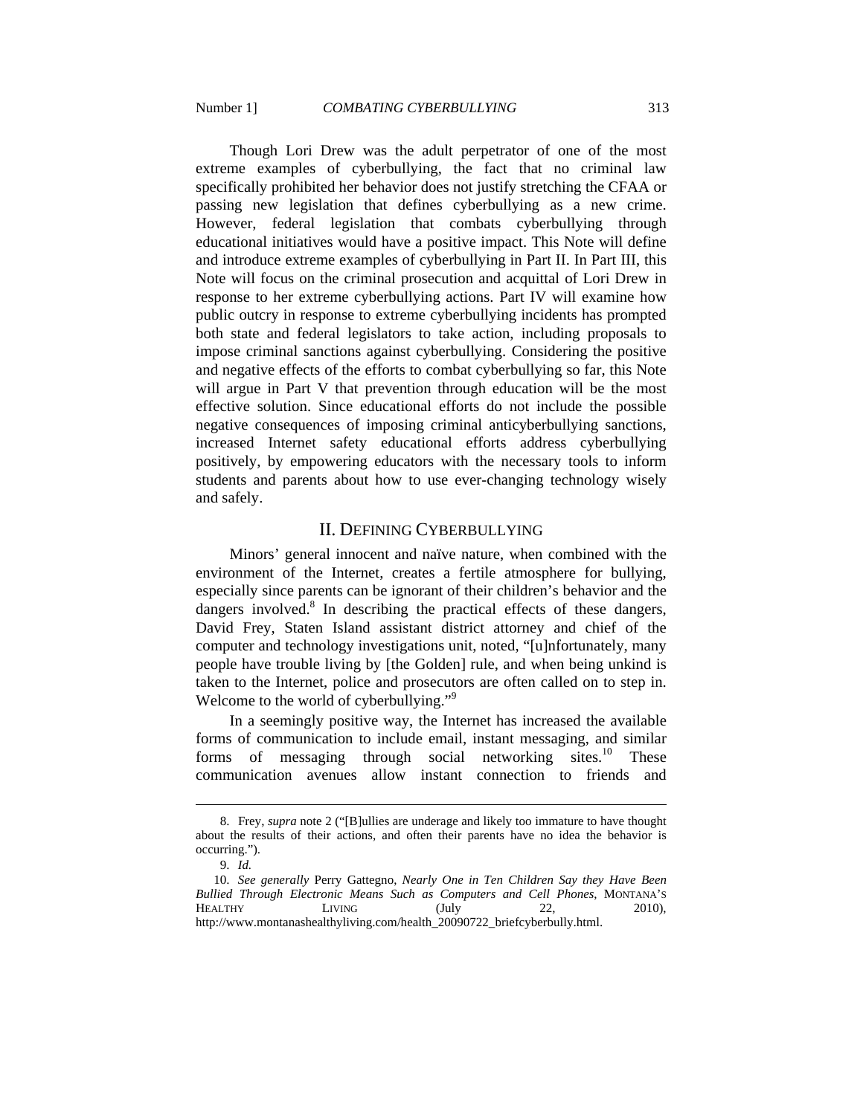Though Lori Drew was the adult perpetrator of one of the most extreme examples of cyberbullying, the fact that no criminal law specifically prohibited her behavior does not justify stretching the CFAA or passing new legislation that defines cyberbullying as a new crime. However, federal legislation that combats cyberbullying through educational initiatives would have a positive impact. This Note will define and introduce extreme examples of cyberbullying in Part II. In Part III, this Note will focus on the criminal prosecution and acquittal of Lori Drew in response to her extreme cyberbullying actions. Part IV will examine how public outcry in response to extreme cyberbullying incidents has prompted both state and federal legislators to take action, including proposals to impose criminal sanctions against cyberbullying. Considering the positive and negative effects of the efforts to combat cyberbullying so far, this Note will argue in Part V that prevention through education will be the most effective solution. Since educational efforts do not include the possible negative consequences of imposing criminal anticyberbullying sanctions, increased Internet safety educational efforts address cyberbullying positively, by empowering educators with the necessary tools to inform students and parents about how to use ever-changing technology wisely and safely.

## II. DEFINING CYBERBULLYING

Minors' general innocent and naïve nature, when combined with the environment of the Internet, creates a fertile atmosphere for bullying, especially since parents can be ignorant of their children's behavior and the dangers involved. $8$  In describing the practical effects of these dangers, David Frey, Staten Island assistant district attorney and chief of the computer and technology investigations unit, noted, "[u]nfortunately, many people have trouble living by [the Golden] rule, and when being unkind is taken to the Internet, police and prosecutors are often called on to step in. Welcome to the world of cyberbullying."<sup>9</sup>

In a seemingly positive way, the Internet has increased the available forms of communication to include email, instant messaging, and similar forms of messaging through social networking sites.<sup>10</sup> These communication avenues allow instant connection to friends and

 <sup>8.</sup> Frey, *supra* note 2 ("[B]ullies are underage and likely too immature to have thought about the results of their actions, and often their parents have no idea the behavior is occurring.").

 <sup>9.</sup> *Id.*

 <sup>10.</sup> *See generally* Perry Gattegno, *Nearly One in Ten Children Say they Have Been Bullied Through Electronic Means Such as Computers and Cell Phones*, MONTANA'S HEALTHY LIVING (July 22, 2010), http://www.montanashealthyliving.com/health\_20090722\_briefcyberbully.html.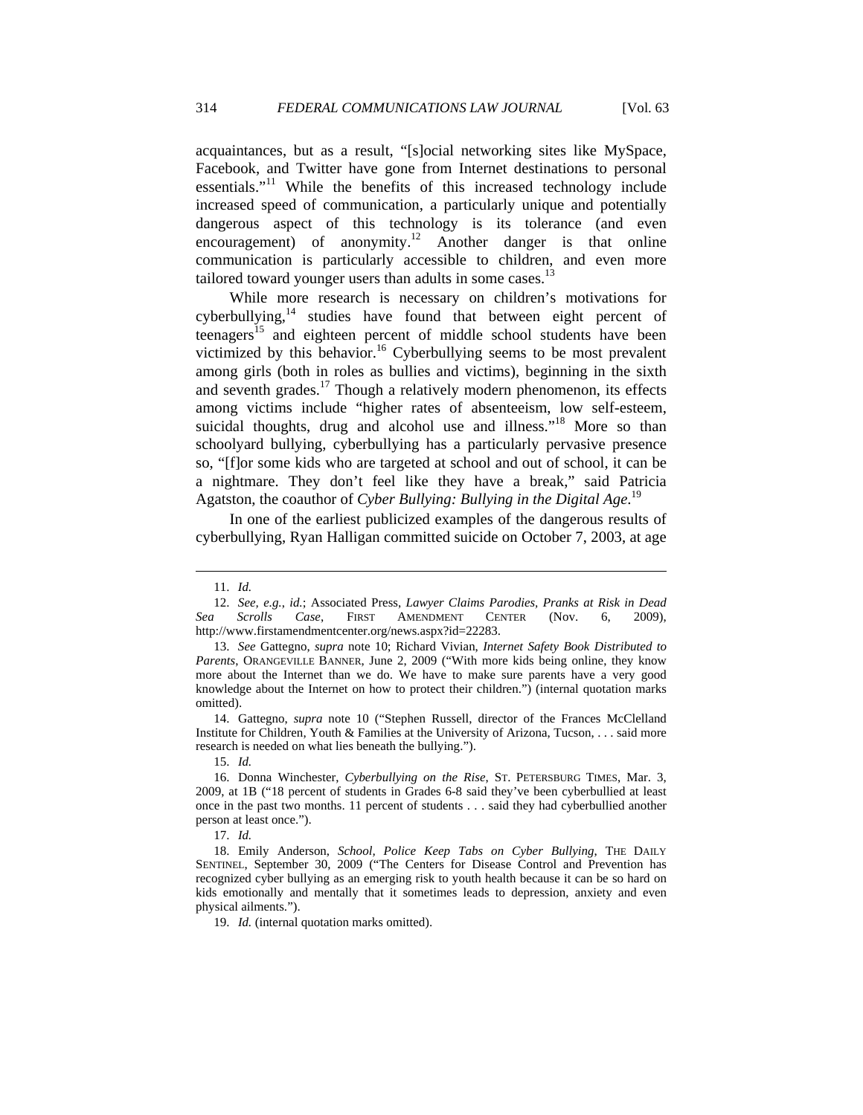acquaintances, but as a result, "[s]ocial networking sites like MySpace, Facebook, and Twitter have gone from Internet destinations to personal essentials."<sup>11</sup> While the benefits of this increased technology include increased speed of communication, a particularly unique and potentially dangerous aspect of this technology is its tolerance (and even encouragement) of anonymity.<sup>12</sup> Another danger is that online communication is particularly accessible to children, and even more tailored toward younger users than adults in some cases. $13$ 

While more research is necessary on children's motivations for cyberbullying, $14$  studies have found that between eight percent of teenagers<sup>15</sup> and eighteen percent of middle school students have been victimized by this behavior.<sup>16</sup> Cyberbullying seems to be most prevalent among girls (both in roles as bullies and victims), beginning in the sixth and seventh grades.<sup>17</sup> Though a relatively modern phenomenon, its effects among victims include "higher rates of absenteeism, low self-esteem, suicidal thoughts, drug and alcohol use and illness."<sup>18</sup> More so than schoolyard bullying, cyberbullying has a particularly pervasive presence so, "[f]or some kids who are targeted at school and out of school, it can be a nightmare. They don't feel like they have a break," said Patricia Agatston, the coauthor of *Cyber Bullying: Bullying in the Digital Age*. 19

In one of the earliest publicized examples of the dangerous results of cyberbullying, Ryan Halligan committed suicide on October 7, 2003, at age

 $\overline{a}$ 

 14. Gattegno, *supra* note 10 ("Stephen Russell, director of the Frances McClelland Institute for Children, Youth & Families at the University of Arizona, Tucson, . . . said more research is needed on what lies beneath the bullying.").

15. *Id.*

17. *Id.*

 18. Emily Anderson, *School, Police Keep Tabs on Cyber Bullying*, THE DAILY SENTINEL, September 30, 2009 ("The Centers for Disease Control and Prevention has recognized cyber bullying as an emerging risk to youth health because it can be so hard on kids emotionally and mentally that it sometimes leads to depression, anxiety and even physical ailments.").

19. *Id.* (internal quotation marks omitted).

 <sup>11.</sup> *Id.*

 <sup>12.</sup> *See, e.g.*, *id.*; Associated Press, *Lawyer Claims Parodies, Pranks at Risk in Dead Sea Scrolls Case*, FIRST AMENDMENT CENTER (Nov. 6, 2009), http://www.firstamendmentcenter.org/news.aspx?id=22283.

 <sup>13.</sup> *See* Gattegno, *supra* note 10; Richard Vivian, *Internet Safety Book Distributed to Parents*, ORANGEVILLE BANNER, June 2, 2009 ("With more kids being online, they know more about the Internet than we do. We have to make sure parents have a very good knowledge about the Internet on how to protect their children.") (internal quotation marks omitted).

 <sup>16.</sup> Donna Winchester, *Cyberbullying on the Rise*, ST. PETERSBURG TIMES, Mar. 3, 2009, at 1B ("18 percent of students in Grades 6-8 said they've been cyberbullied at least once in the past two months. 11 percent of students . . . said they had cyberbullied another person at least once.").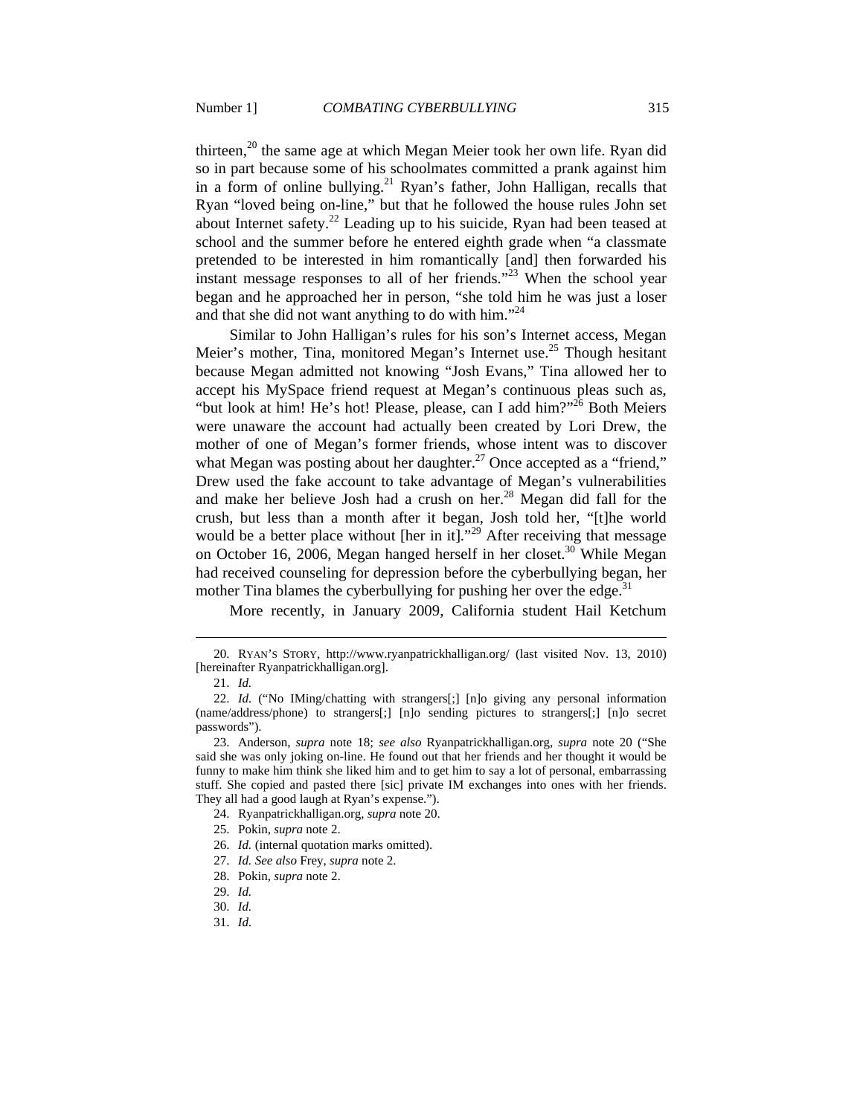thirteen,<sup>20</sup> the same age at which Megan Meier took her own life. Ryan did so in part because some of his schoolmates committed a prank against him in a form of online bullying.<sup>21</sup> Ryan's father, John Halligan, recalls that Ryan "loved being on-line," but that he followed the house rules John set about Internet safety.<sup>22</sup> Leading up to his suicide, Ryan had been teased at school and the summer before he entered eighth grade when "a classmate pretended to be interested in him romantically [and] then forwarded his instant message responses to all of her friends."<sup>23</sup> When the school year began and he approached her in person, "she told him he was just a loser and that she did not want anything to do with him. $^{24}$ 

Similar to John Halligan's rules for his son's Internet access, Megan Meier's mother, Tina, monitored Megan's Internet use.<sup>25</sup> Though hesitant because Megan admitted not knowing "Josh Evans," Tina allowed her to accept his MySpace friend request at Megan's continuous pleas such as, "but look at him! He's hot! Please, please, can I add him?" $^{26}$  Both Meiers were unaware the account had actually been created by Lori Drew, the mother of one of Megan's former friends, whose intent was to discover what Megan was posting about her daughter.<sup>27</sup> Once accepted as a "friend," Drew used the fake account to take advantage of Megan's vulnerabilities and make her believe Josh had a crush on her.<sup>28</sup> Megan did fall for the crush, but less than a month after it began, Josh told her, "[t]he world would be a better place without [her in it]."<sup>29</sup> After receiving that message on October 16, 2006, Megan hanged herself in her closet.<sup>30</sup> While Megan had received counseling for depression before the cyberbullying began, her mother Tina blames the cyberbullying for pushing her over the edge.<sup>31</sup>

More recently, in January 2009, California student Hail Ketchum

 <sup>20.</sup> RYAN'S STORY, http://www.ryanpatrickhalligan.org/ (last visited Nov. 13, 2010) [hereinafter Ryanpatrickhalligan.org].

 <sup>21.</sup> *Id.*

 <sup>22.</sup> *Id.* ("No IMing/chatting with strangers[;] [n]o giving any personal information (name/address/phone) to strangers[;] [n]o sending pictures to strangers[;] [n]o secret passwords").

 <sup>23.</sup> Anderson, *supra* note 18; *see also* Ryanpatrickhalligan.org, *supra* note 20 ("She said she was only joking on-line. He found out that her friends and her thought it would be funny to make him think she liked him and to get him to say a lot of personal, embarrassing stuff. She copied and pasted there [sic] private IM exchanges into ones with her friends. They all had a good laugh at Ryan's expense.").

 <sup>24.</sup> Ryanpatrickhalligan.org, *supra* note 20.

 <sup>25.</sup> Pokin, *supra* note 2.

 <sup>26.</sup> *Id.* (internal quotation marks omitted).

 <sup>27.</sup> *Id. See also* Frey, *supra* note 2.

 <sup>28.</sup> Pokin, *supra* note 2.

 <sup>29.</sup> *Id.*

 <sup>30.</sup> *Id.*

 <sup>31.</sup> *Id.*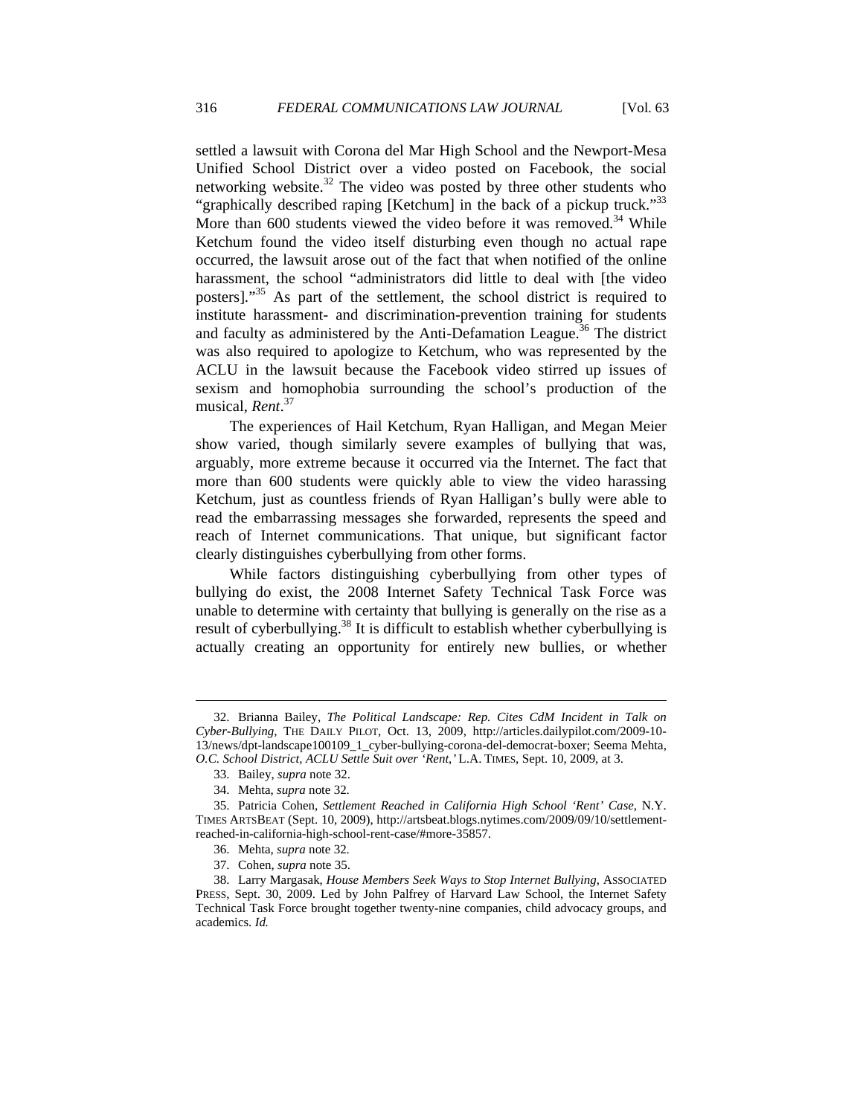settled a lawsuit with Corona del Mar High School and the Newport-Mesa Unified School District over a video posted on Facebook, the social networking website. $32$  The video was posted by three other students who "graphically described raping [Ketchum] in the back of a pickup truck."<sup>33</sup> More than 600 students viewed the video before it was removed.<sup>34</sup> While Ketchum found the video itself disturbing even though no actual rape occurred, the lawsuit arose out of the fact that when notified of the online harassment, the school "administrators did little to deal with [the video posters]."<sup>35</sup> As part of the settlement, the school district is required to institute harassment- and discrimination-prevention training for students and faculty as administered by the Anti-Defamation League.<sup>36</sup> The district was also required to apologize to Ketchum, who was represented by the ACLU in the lawsuit because the Facebook video stirred up issues of sexism and homophobia surrounding the school's production of the musical, *Rent*. 37

The experiences of Hail Ketchum, Ryan Halligan, and Megan Meier show varied, though similarly severe examples of bullying that was, arguably, more extreme because it occurred via the Internet. The fact that more than 600 students were quickly able to view the video harassing Ketchum, just as countless friends of Ryan Halligan's bully were able to read the embarrassing messages she forwarded, represents the speed and reach of Internet communications. That unique, but significant factor clearly distinguishes cyberbullying from other forms.

While factors distinguishing cyberbullying from other types of bullying do exist, the 2008 Internet Safety Technical Task Force was unable to determine with certainty that bullying is generally on the rise as a result of cyberbullying.<sup>38</sup> It is difficult to establish whether cyberbullying is actually creating an opportunity for entirely new bullies, or whether

 <sup>32.</sup> Brianna Bailey, *The Political Landscape: Rep. Cites CdM Incident in Talk on Cyber-Bullying*, THE DAILY PILOT, Oct. 13, 2009, http://articles.dailypilot.com/2009-10- 13/news/dpt-landscape100109\_1\_cyber-bullying-corona-del-democrat-boxer; Seema Mehta, *O.C. School District, ACLU Settle Suit over 'Rent*,*'* L.A. TIMES, Sept. 10, 2009, at 3.

 <sup>33.</sup> Bailey, *supra* note 32.

 <sup>34.</sup> Mehta, *supra* note 32.

 <sup>35.</sup> Patricia Cohen, *Settlement Reached in California High School 'Rent' Case*, N.Y. TIMES ARTSBEAT (Sept. 10, 2009), http://artsbeat.blogs.nytimes.com/2009/09/10/settlementreached-in-california-high-school-rent-case/#more-35857.

 <sup>36.</sup> Mehta, *supra* note 32.

 <sup>37.</sup> Cohen, *supra* note 35.

 <sup>38.</sup> Larry Margasak, *House Members Seek Ways to Stop Internet Bullying*, ASSOCIATED PRESS, Sept. 30, 2009. Led by John Palfrey of Harvard Law School, the Internet Safety Technical Task Force brought together twenty-nine companies, child advocacy groups, and academics. *Id.*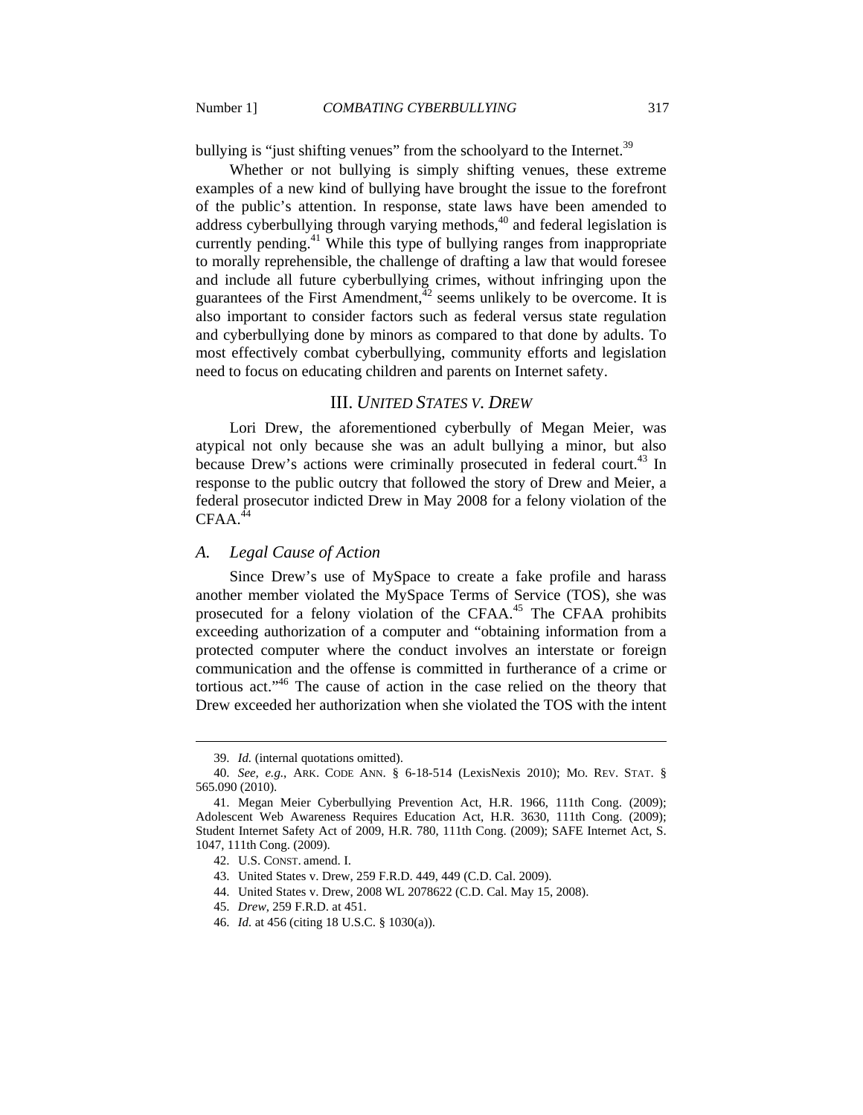bullying is "just shifting venues" from the schoolyard to the Internet.<sup>39</sup>

Whether or not bullying is simply shifting venues, these extreme examples of a new kind of bullying have brought the issue to the forefront of the public's attention. In response, state laws have been amended to address cyberbullying through varying methods, $40$  and federal legislation is currently pending.<sup>41</sup> While this type of bullying ranges from inappropriate to morally reprehensible, the challenge of drafting a law that would foresee and include all future cyberbullying crimes, without infringing upon the guarantees of the First Amendment,  $42$  seems unlikely to be overcome. It is also important to consider factors such as federal versus state regulation and cyberbullying done by minors as compared to that done by adults. To most effectively combat cyberbullying, community efforts and legislation need to focus on educating children and parents on Internet safety.

## III. *UNITED STATES V. DREW*

Lori Drew, the aforementioned cyberbully of Megan Meier, was atypical not only because she was an adult bullying a minor, but also because Drew's actions were criminally prosecuted in federal court.<sup>43</sup> In response to the public outcry that followed the story of Drew and Meier, a federal prosecutor indicted Drew in May 2008 for a felony violation of the  $CFAA.<sup>44</sup>$ 

## *A. Legal Cause of Action*

Since Drew's use of MySpace to create a fake profile and harass another member violated the MySpace Terms of Service (TOS), she was prosecuted for a felony violation of the CFAA.<sup>45</sup> The CFAA prohibits exceeding authorization of a computer and "obtaining information from a protected computer where the conduct involves an interstate or foreign communication and the offense is committed in furtherance of a crime or tortious act."46 The cause of action in the case relied on the theory that Drew exceeded her authorization when she violated the TOS with the intent

- 44. United States v. Drew, 2008 WL 2078622 (C.D. Cal. May 15, 2008).
- 45. *Drew*, 259 F.R.D. at 451.

 <sup>39.</sup> *Id.* (internal quotations omitted).

 <sup>40.</sup> *See, e.g.*, ARK. CODE ANN. § 6-18-514 (LexisNexis 2010); MO. REV. STAT. § 565.090 (2010).

 <sup>41.</sup> Megan Meier Cyberbullying Prevention Act, H.R. 1966, 111th Cong. (2009); Adolescent Web Awareness Requires Education Act, H.R. 3630, 111th Cong. (2009); Student Internet Safety Act of 2009, H.R. 780, 111th Cong. (2009); SAFE Internet Act, S. 1047, 111th Cong. (2009).

 <sup>42.</sup> U.S. CONST. amend. I.

 <sup>43.</sup> United States v. Drew, 259 F.R.D. 449, 449 (C.D. Cal. 2009).

 <sup>46.</sup> *Id.* at 456 (citing 18 U.S.C. § 1030(a)).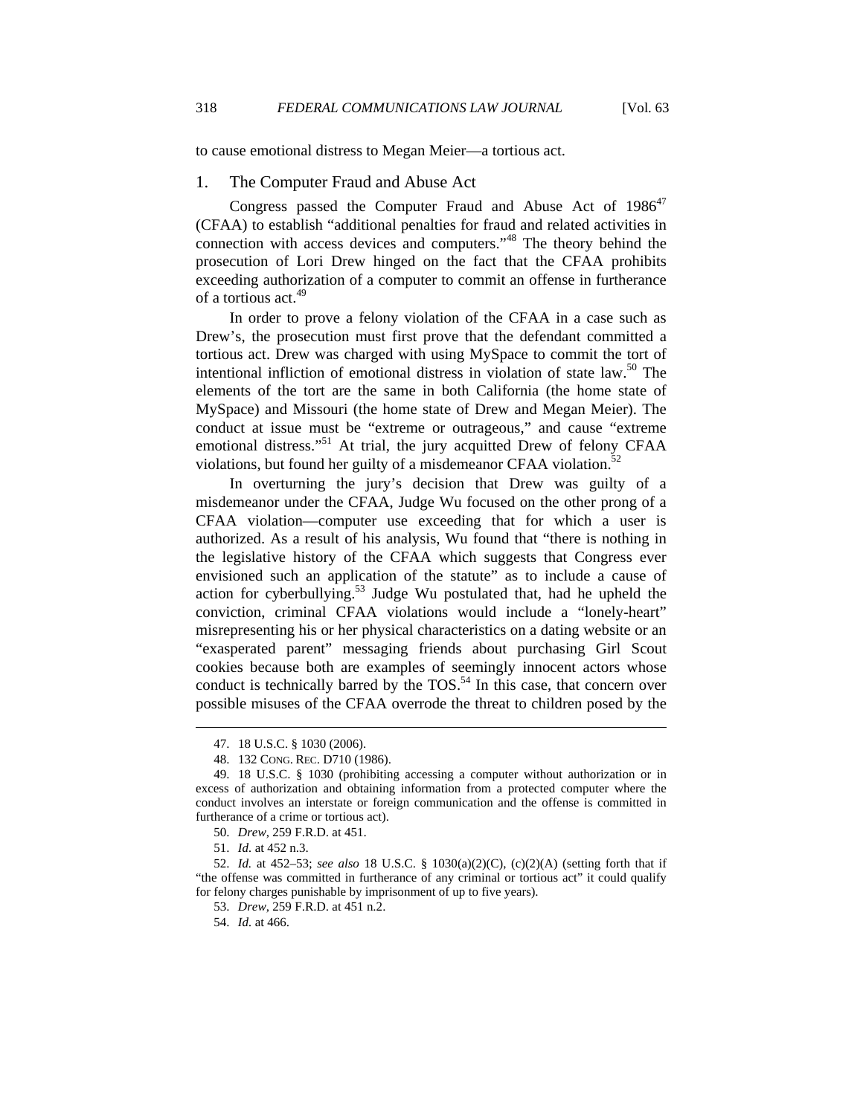to cause emotional distress to Megan Meier—a tortious act.

#### 1. The Computer Fraud and Abuse Act

Congress passed the Computer Fraud and Abuse Act of  $1986^{47}$ (CFAA) to establish "additional penalties for fraud and related activities in connection with access devices and computers."48 The theory behind the prosecution of Lori Drew hinged on the fact that the CFAA prohibits exceeding authorization of a computer to commit an offense in furtherance of a tortious act.<sup>49</sup>

In order to prove a felony violation of the CFAA in a case such as Drew's, the prosecution must first prove that the defendant committed a tortious act. Drew was charged with using MySpace to commit the tort of intentional infliction of emotional distress in violation of state law.<sup>50</sup> The elements of the tort are the same in both California (the home state of MySpace) and Missouri (the home state of Drew and Megan Meier). The conduct at issue must be "extreme or outrageous," and cause "extreme emotional distress."<sup>51</sup> At trial, the jury acquitted Drew of felony CFAA violations, but found her guilty of a misdemeanor CFAA violation. $52$ 

In overturning the jury's decision that Drew was guilty of a misdemeanor under the CFAA, Judge Wu focused on the other prong of a CFAA violation—computer use exceeding that for which a user is authorized. As a result of his analysis, Wu found that "there is nothing in the legislative history of the CFAA which suggests that Congress ever envisioned such an application of the statute" as to include a cause of action for cyberbullying.<sup>53</sup> Judge Wu postulated that, had he upheld the conviction, criminal CFAA violations would include a "lonely-heart" misrepresenting his or her physical characteristics on a dating website or an "exasperated parent" messaging friends about purchasing Girl Scout cookies because both are examples of seemingly innocent actors whose conduct is technically barred by the  $TOS.<sup>54</sup>$  In this case, that concern over possible misuses of the CFAA overrode the threat to children posed by the

 <sup>47. 18</sup> U.S.C. § 1030 (2006).

 <sup>48. 132</sup> CONG. REC. D710 (1986).

 <sup>49. 18</sup> U.S.C. § 1030 (prohibiting accessing a computer without authorization or in excess of authorization and obtaining information from a protected computer where the conduct involves an interstate or foreign communication and the offense is committed in furtherance of a crime or tortious act).

 <sup>50.</sup> *Drew*, 259 F.R.D. at 451.

 <sup>51.</sup> *Id.* at 452 n.3.

 <sup>52.</sup> *Id.* at 452–53; *see also* 18 U.S.C. § 1030(a)(2)(C), (c)(2)(A) (setting forth that if "the offense was committed in furtherance of any criminal or tortious act" it could qualify for felony charges punishable by imprisonment of up to five years).

 <sup>53.</sup> *Drew*, 259 F.R.D. at 451 n.2.

 <sup>54.</sup> *Id.* at 466.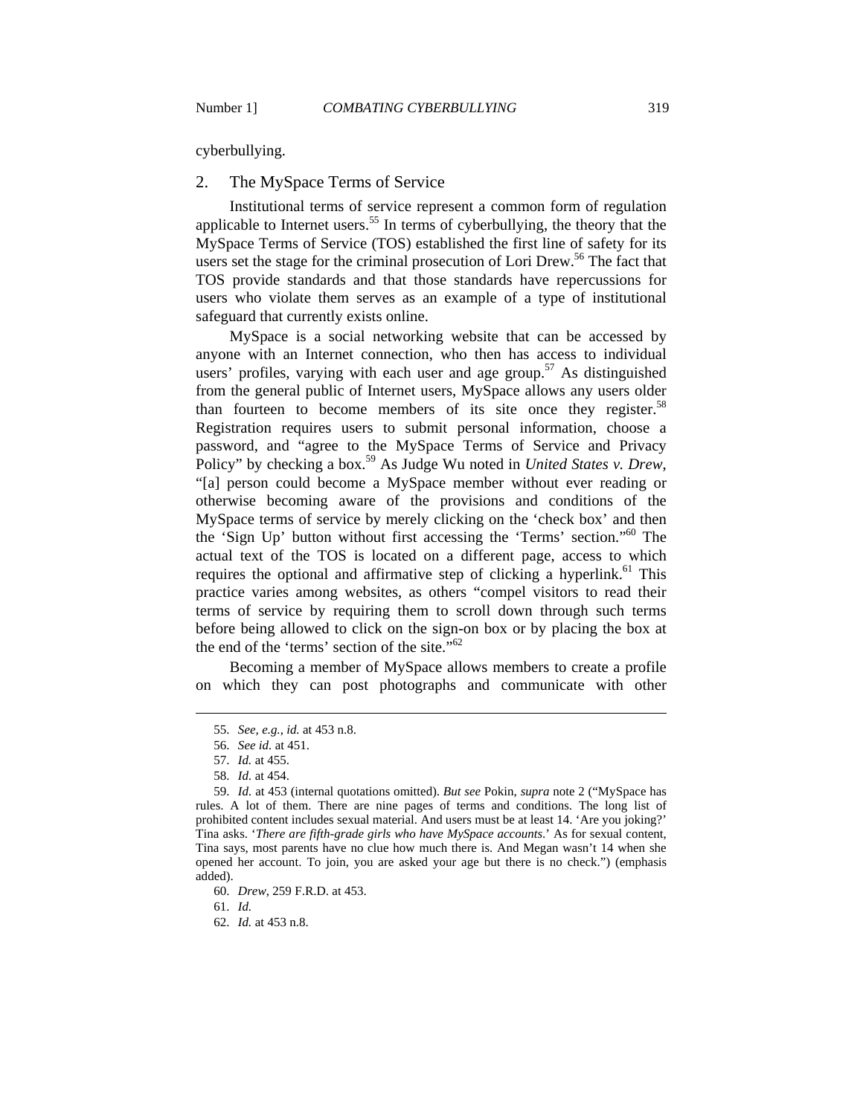cyberbullying.

#### 2. The MySpace Terms of Service

Institutional terms of service represent a common form of regulation applicable to Internet users.<sup>55</sup> In terms of cyberbullying, the theory that the MySpace Terms of Service (TOS) established the first line of safety for its users set the stage for the criminal prosecution of Lori Drew.<sup>56</sup> The fact that TOS provide standards and that those standards have repercussions for users who violate them serves as an example of a type of institutional safeguard that currently exists online.

MySpace is a social networking website that can be accessed by anyone with an Internet connection, who then has access to individual users' profiles, varying with each user and age group.<sup>57</sup> As distinguished from the general public of Internet users, MySpace allows any users older than fourteen to become members of its site once they register.<sup>58</sup> Registration requires users to submit personal information, choose a password, and "agree to the MySpace Terms of Service and Privacy Policy" by checking a box.<sup>59</sup> As Judge Wu noted in *United States v. Drew*, "[a] person could become a MySpace member without ever reading or otherwise becoming aware of the provisions and conditions of the MySpace terms of service by merely clicking on the 'check box' and then the 'Sign Up' button without first accessing the 'Terms' section."60 The actual text of the TOS is located on a different page, access to which requires the optional and affirmative step of clicking a hyperlink.<sup>61</sup> This practice varies among websites, as others "compel visitors to read their terms of service by requiring them to scroll down through such terms before being allowed to click on the sign-on box or by placing the box at the end of the 'terms' section of the site."<sup>62</sup>

Becoming a member of MySpace allows members to create a profile on which they can post photographs and communicate with other

 $\overline{a}$ 

61. *Id.*

 <sup>55.</sup> *See, e.g.*, *id.* at 453 n.8.

 <sup>56.</sup> *See id.* at 451.

 <sup>57.</sup> *Id.* at 455.

 <sup>58.</sup> *Id.* at 454.

 <sup>59.</sup> *Id.* at 453 (internal quotations omitted). *But see* Pokin, *supra* note 2 ("MySpace has rules. A lot of them. There are nine pages of terms and conditions. The long list of prohibited content includes sexual material. And users must be at least 14. 'Are you joking?' Tina asks. '*There are fifth-grade girls who have MySpace accounts*.' As for sexual content, Tina says, most parents have no clue how much there is. And Megan wasn't 14 when she opened her account. To join, you are asked your age but there is no check.") (emphasis added).

 <sup>60.</sup> *Drew*, 259 F.R.D. at 453.

 <sup>62.</sup> *Id.* at 453 n.8.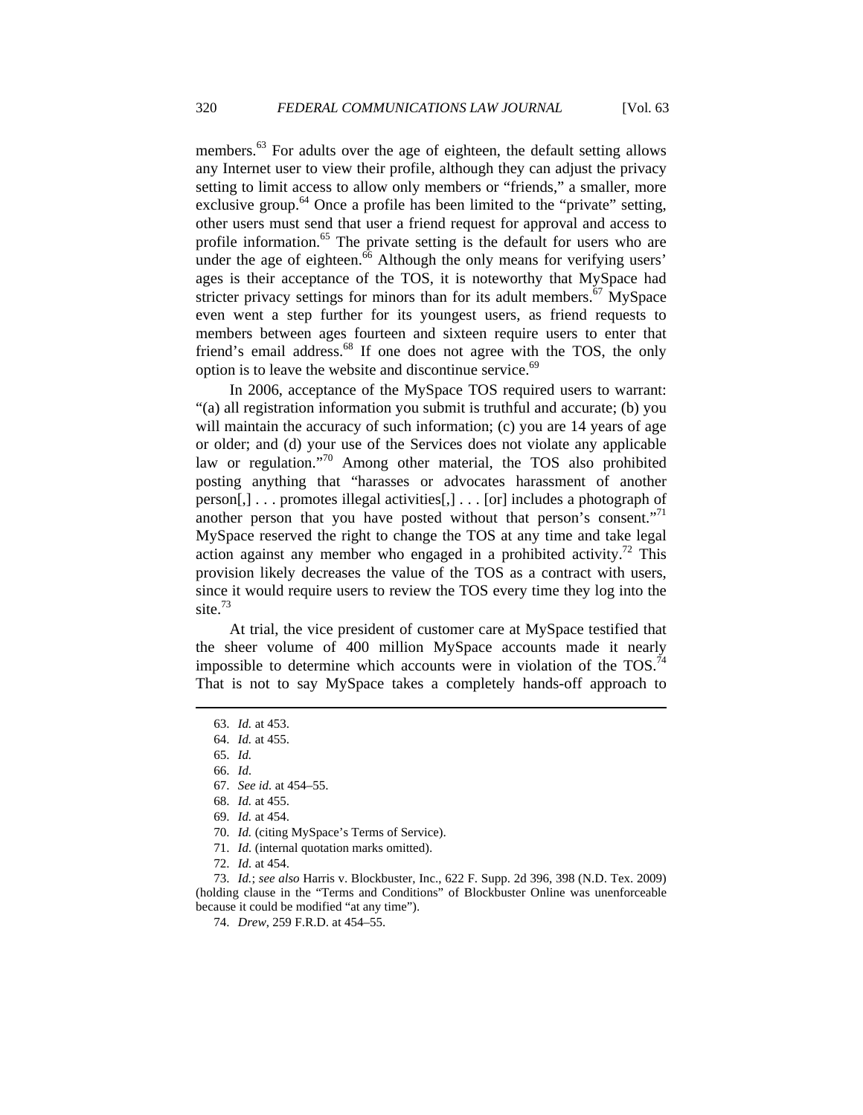members.<sup>63</sup> For adults over the age of eighteen, the default setting allows any Internet user to view their profile, although they can adjust the privacy setting to limit access to allow only members or "friends," a smaller, more exclusive group.<sup>64</sup> Once a profile has been limited to the "private" setting, other users must send that user a friend request for approval and access to profile information.<sup>65</sup> The private setting is the default for users who are under the age of eighteen. $\frac{6}{6}$  Although the only means for verifying users' ages is their acceptance of the TOS, it is noteworthy that MySpace had stricter privacy settings for minors than for its adult members.<sup>67</sup> MySpace even went a step further for its youngest users, as friend requests to members between ages fourteen and sixteen require users to enter that friend's email address.<sup>68</sup> If one does not agree with the TOS, the only option is to leave the website and discontinue service.<sup>69</sup>

In 2006, acceptance of the MySpace TOS required users to warrant: "(a) all registration information you submit is truthful and accurate; (b) you will maintain the accuracy of such information; (c) you are 14 years of age or older; and (d) your use of the Services does not violate any applicable law or regulation."<sup>70</sup> Among other material, the TOS also prohibited posting anything that "harasses or advocates harassment of another person[,] . . . promotes illegal activities[,] . . . [or] includes a photograph of another person that you have posted without that person's consent."<sup>71</sup> MySpace reserved the right to change the TOS at any time and take legal action against any member who engaged in a prohibited activity.<sup>72</sup> This provision likely decreases the value of the TOS as a contract with users, since it would require users to review the TOS every time they log into the site.<sup>73</sup>

At trial, the vice president of customer care at MySpace testified that the sheer volume of 400 million MySpace accounts made it nearly impossible to determine which accounts were in violation of the  $TOS.<sup>74</sup>$ That is not to say MySpace takes a completely hands-off approach to

 $\overline{a}$ 

- 71. *Id.* (internal quotation marks omitted).
- 72. *Id.* at 454.

 73. *Id.*; *see also* Harris v. Blockbuster, Inc., 622 F. Supp. 2d 396, 398 (N.D. Tex. 2009) (holding clause in the "Terms and Conditions" of Blockbuster Online was unenforceable because it could be modified "at any time").

 <sup>63.</sup> *Id.* at 453.

 <sup>64.</sup> *Id.* at 455.

 <sup>65.</sup> *Id.*

 <sup>66.</sup> *Id.* 

 <sup>67.</sup> *See id.* at 454–55.

 <sup>68.</sup> *Id.* at 455.

 <sup>69.</sup> *Id.* at 454.

 <sup>70.</sup> *Id.* (citing MySpace's Terms of Service).

 <sup>74.</sup> *Drew*, 259 F.R.D. at 454–55.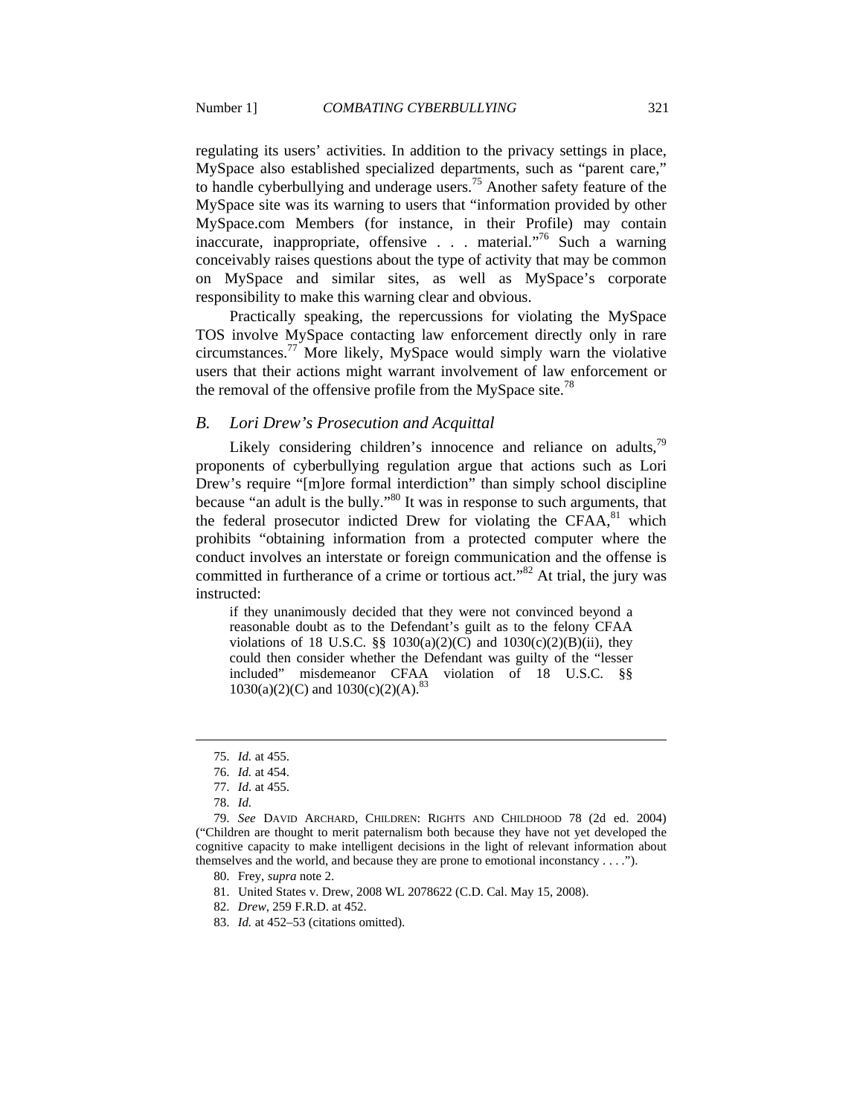regulating its users' activities. In addition to the privacy settings in place, MySpace also established specialized departments, such as "parent care," to handle cyberbullying and underage users.<sup>75</sup> Another safety feature of the MySpace site was its warning to users that "information provided by other MySpace.com Members (for instance, in their Profile) may contain inaccurate, inappropriate, offensive  $\ldots$  material."<sup>76</sup> Such a warning conceivably raises questions about the type of activity that may be common on MySpace and similar sites, as well as MySpace's corporate responsibility to make this warning clear and obvious.

Practically speaking, the repercussions for violating the MySpace TOS involve MySpace contacting law enforcement directly only in rare circumstances.<sup>77</sup> More likely, MySpace would simply warn the violative users that their actions might warrant involvement of law enforcement or the removal of the offensive profile from the MySpace site.<sup>78</sup>

#### *B. Lori Drew's Prosecution and Acquittal*

Likely considering children's innocence and reliance on adults, $^{79}$ proponents of cyberbullying regulation argue that actions such as Lori Drew's require "[m]ore formal interdiction" than simply school discipline because "an adult is the bully."<sup>80</sup> It was in response to such arguments, that the federal prosecutor indicted Drew for violating the  $CFAA$ ,  $81$  which prohibits "obtaining information from a protected computer where the conduct involves an interstate or foreign communication and the offense is committed in furtherance of a crime or tortious act.<sup> $32$ </sup> At trial, the jury was instructed:

if they unanimously decided that they were not convinced beyond a reasonable doubt as to the Defendant's guilt as to the felony CFAA violations of 18 U.S.C.  $\S$  1030(a)(2)(C) and 1030(c)(2)(B)(ii), they could then consider whether the Defendant was guilty of the "lesser included" misdemeanor CFAA violation of 18 U.S.C. §§  $1030(a)(2)(C)$  and  $1030(c)(2)(A).$ <sup>83</sup>

 <sup>75.</sup> *Id.* at 455.

 <sup>76.</sup> *Id.* at 454.

 <sup>77.</sup> *Id.* at 455.

 <sup>78.</sup> *Id.*

 <sup>79.</sup> *See* DAVID ARCHARD, CHILDREN: RIGHTS AND CHILDHOOD 78 (2d ed. 2004) ("Children are thought to merit paternalism both because they have not yet developed the cognitive capacity to make intelligent decisions in the light of relevant information about themselves and the world, and because they are prone to emotional inconstancy . . . .").

 <sup>80.</sup> Frey, *supra* note 2.

 <sup>81.</sup> United States v. Drew, 2008 WL 2078622 (C.D. Cal. May 15, 2008).

 <sup>82.</sup> *Drew*, 259 F.R.D. at 452.

 <sup>83.</sup> *Id.* at 452–53 (citations omitted).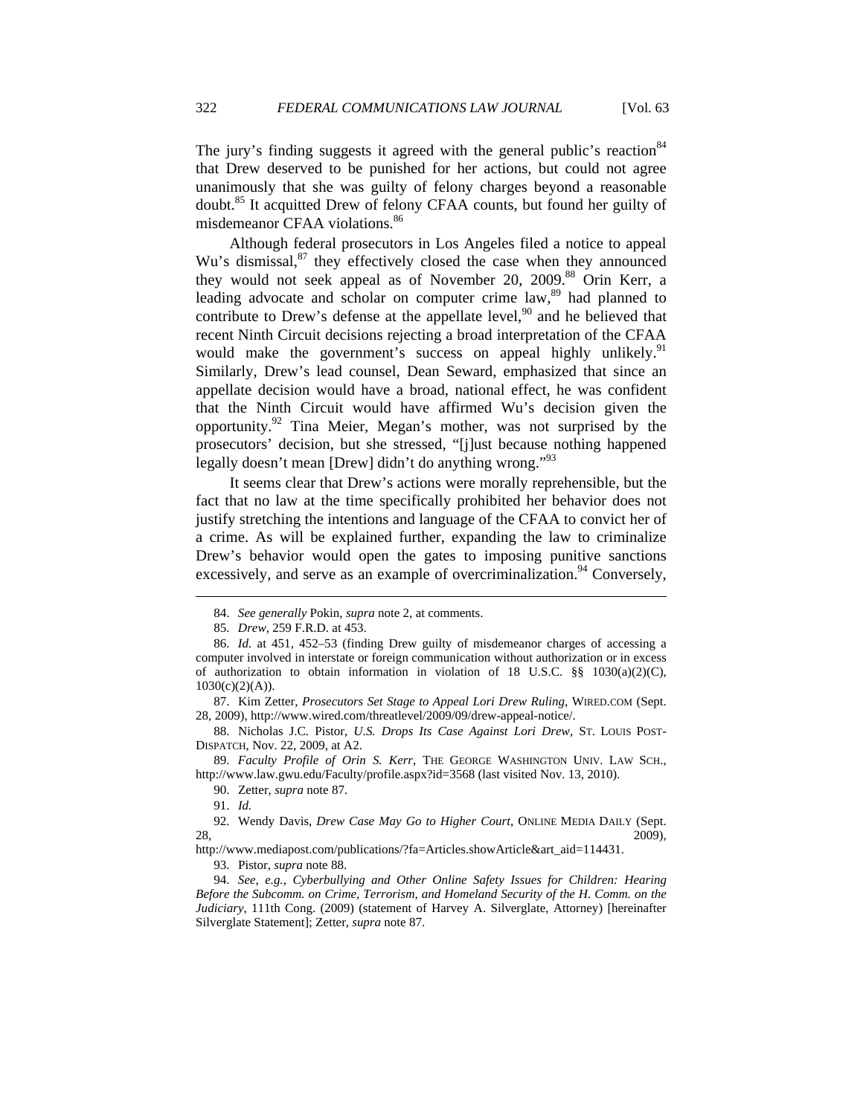The jury's finding suggests it agreed with the general public's reaction  $84$ that Drew deserved to be punished for her actions, but could not agree unanimously that she was guilty of felony charges beyond a reasonable doubt.<sup>85</sup> It acquitted Drew of felony CFAA counts, but found her guilty of misdemeanor CFAA violations.<sup>86</sup>

Although federal prosecutors in Los Angeles filed a notice to appeal Wu's dismissal, $87$  they effectively closed the case when they announced they would not seek appeal as of November 20, 2009.<sup>88</sup> Orin Kerr, a leading advocate and scholar on computer crime law,<sup>89</sup> had planned to contribute to Drew's defense at the appellate level,  $90$  and he believed that recent Ninth Circuit decisions rejecting a broad interpretation of the CFAA would make the government's success on appeal highly unlikely.<sup>91</sup> Similarly, Drew's lead counsel, Dean Seward, emphasized that since an appellate decision would have a broad, national effect, he was confident that the Ninth Circuit would have affirmed Wu's decision given the opportunity.<sup>92</sup> Tina Meier, Megan's mother, was not surprised by the prosecutors' decision, but she stressed, "[j]ust because nothing happened legally doesn't mean [Drew] didn't do anything wrong."<sup>93</sup>

It seems clear that Drew's actions were morally reprehensible, but the fact that no law at the time specifically prohibited her behavior does not justify stretching the intentions and language of the CFAA to convict her of a crime. As will be explained further, expanding the law to criminalize Drew's behavior would open the gates to imposing punitive sanctions excessively, and serve as an example of overcriminalization.<sup>94</sup> Conversely,

 <sup>84.</sup> *See generally* Pokin, *supra* note 2, at comments.

 <sup>85.</sup> *Drew*, 259 F.R.D. at 453.

 <sup>86.</sup> *Id.* at 451, 452–53 (finding Drew guilty of misdemeanor charges of accessing a computer involved in interstate or foreign communication without authorization or in excess of authorization to obtain information in violation of 18 U.S.C.  $\S$ § 1030(a)(2)(C),  $1030(c)(2)(A)).$ 

 <sup>87.</sup> Kim Zetter, *Prosecutors Set Stage to Appeal Lori Drew Ruling*, WIRED.COM (Sept. 28, 2009), http://www.wired.com/threatlevel/2009/09/drew-appeal-notice/.

 <sup>88.</sup> Nicholas J.C. Pistor, *U.S. Drops Its Case Against Lori Drew*, ST. LOUIS POST-DISPATCH, Nov. 22, 2009, at A2.

 <sup>89.</sup> *Faculty Profile of Orin S. Kerr*, THE GEORGE WASHINGTON UNIV. LAW SCH., http://www.law.gwu.edu/Faculty/profile.aspx?id=3568 (last visited Nov. 13, 2010).

 <sup>90.</sup> Zetter, *supra* note 87.

 <sup>91.</sup> *Id.*

 <sup>92.</sup> Wendy Davis, *Drew Case May Go to Higher Court*, ONLINE MEDIA DAILY (Sept. 28, 2009),

http://www.mediapost.com/publications/?fa=Articles.showArticle&art\_aid=114431.

 <sup>93.</sup> Pistor, *supra* note 88.

 <sup>94.</sup> *See, e.g.*, *Cyberbullying and Other Online Safety Issues for Children: Hearing Before the Subcomm. on Crime, Terrorism, and Homeland Security of the H. Comm. on the Judiciary*, 111th Cong. (2009) (statement of Harvey A. Silverglate, Attorney) [hereinafter Silverglate Statement]; Zetter, *supra* note 87.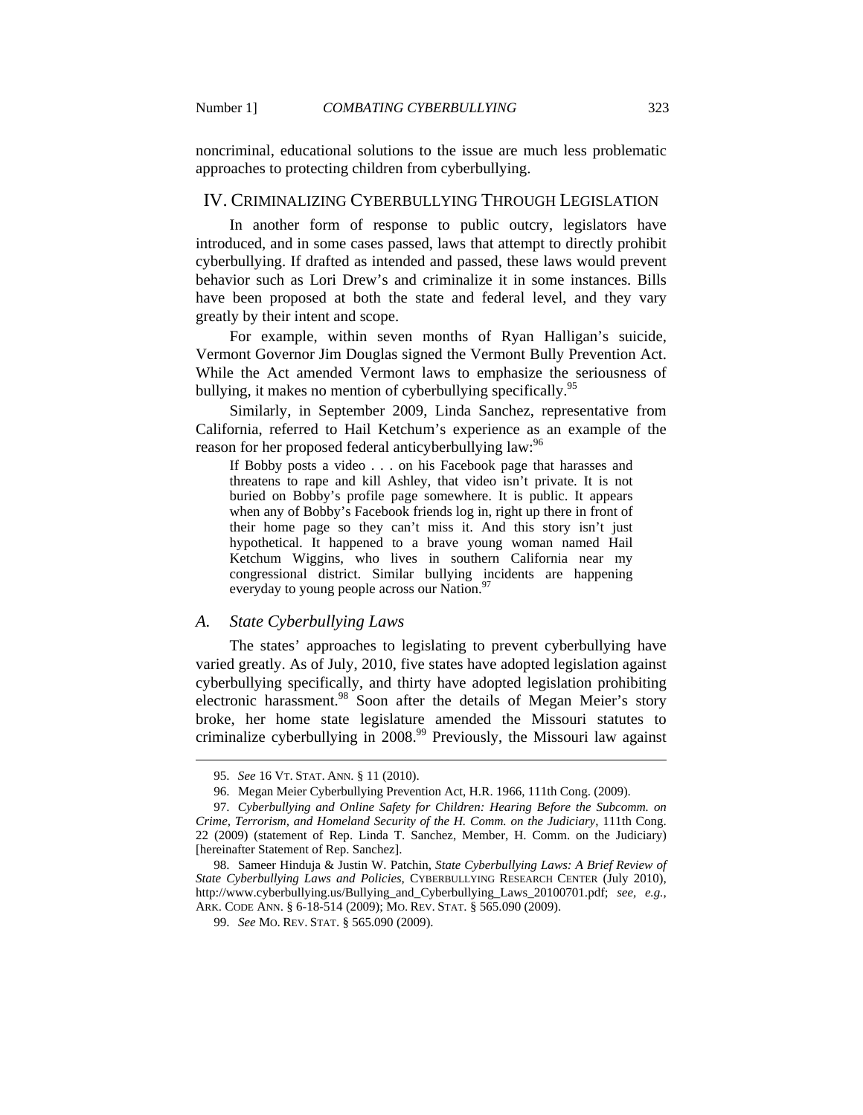noncriminal, educational solutions to the issue are much less problematic approaches to protecting children from cyberbullying.

#### IV. CRIMINALIZING CYBERBULLYING THROUGH LEGISLATION

In another form of response to public outcry, legislators have introduced, and in some cases passed, laws that attempt to directly prohibit cyberbullying. If drafted as intended and passed, these laws would prevent behavior such as Lori Drew's and criminalize it in some instances. Bills have been proposed at both the state and federal level, and they vary greatly by their intent and scope.

For example, within seven months of Ryan Halligan's suicide, Vermont Governor Jim Douglas signed the Vermont Bully Prevention Act. While the Act amended Vermont laws to emphasize the seriousness of bullying, it makes no mention of cyberbullying specifically.<sup>95</sup>

Similarly, in September 2009, Linda Sanchez, representative from California, referred to Hail Ketchum's experience as an example of the reason for her proposed federal anticyberbullying law:<sup>96</sup>

If Bobby posts a video . . . on his Facebook page that harasses and threatens to rape and kill Ashley, that video isn't private. It is not buried on Bobby's profile page somewhere. It is public. It appears when any of Bobby's Facebook friends log in, right up there in front of their home page so they can't miss it. And this story isn't just hypothetical. It happened to a brave young woman named Hail Ketchum Wiggins, who lives in southern California near my congressional district. Similar bullying incidents are happening everyday to young people across our Nation.<sup>9</sup>

## *A. State Cyberbullying Laws*

The states' approaches to legislating to prevent cyberbullying have varied greatly. As of July, 2010, five states have adopted legislation against cyberbullying specifically, and thirty have adopted legislation prohibiting electronic harassment.<sup>98</sup> Soon after the details of Megan Meier's story broke, her home state legislature amended the Missouri statutes to criminalize cyberbullying in  $2008<sup>99</sup>$  Previously, the Missouri law against

 <sup>95.</sup> *See* 16 VT. STAT. ANN. § 11 (2010).

 <sup>96.</sup> Megan Meier Cyberbullying Prevention Act, H.R. 1966, 111th Cong. (2009).

 <sup>97.</sup> *Cyberbullying and Online Safety for Children: Hearing Before the Subcomm. on Crime, Terrorism, and Homeland Security of the H. Comm. on the Judiciary*, 111th Cong. 22 (2009) (statement of Rep. Linda T. Sanchez, Member, H. Comm. on the Judiciary) [hereinafter Statement of Rep. Sanchez].

 <sup>98.</sup> Sameer Hinduja & Justin W. Patchin, *State Cyberbullying Laws: A Brief Review of State Cyberbullying Laws and Policies*, CYBERBULLYING RESEARCH CENTER (July 2010), http://www.cyberbullying.us/Bullying\_and\_Cyberbullying\_Laws\_20100701.pdf; *see, e.g.*, ARK. CODE ANN. § 6-18-514 (2009); MO. REV. STAT. § 565.090 (2009).

 <sup>99.</sup> *See* MO. REV. STAT. § 565.090 (2009).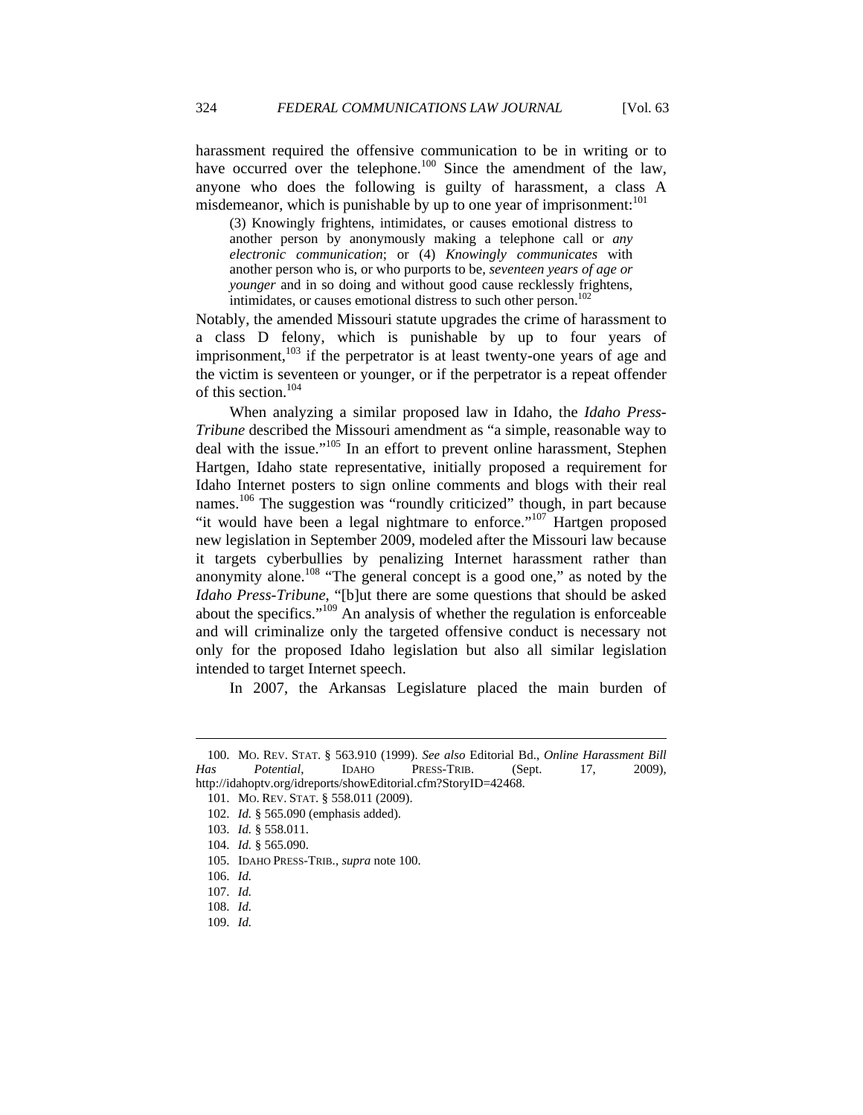harassment required the offensive communication to be in writing or to have occurred over the telephone.<sup>100</sup> Since the amendment of the law, anyone who does the following is guilty of harassment, a class A misdemeanor, which is punishable by up to one year of imprisonment:<sup>101</sup>

(3) Knowingly frightens, intimidates, or causes emotional distress to another person by anonymously making a telephone call or *any electronic communication*; or (4) *Knowingly communicates* with another person who is, or who purports to be, *seventeen years of age or younger* and in so doing and without good cause recklessly frightens, intimidates, or causes emotional distress to such other person.<sup>102</sup>

Notably, the amended Missouri statute upgrades the crime of harassment to a class D felony, which is punishable by up to four years of imprisonment,<sup>103</sup> if the perpetrator is at least twenty-one years of age and the victim is seventeen or younger, or if the perpetrator is a repeat offender of this section.<sup>104</sup>

When analyzing a similar proposed law in Idaho, the *Idaho Press-Tribune* described the Missouri amendment as "a simple, reasonable way to deal with the issue."<sup>105</sup> In an effort to prevent online harassment, Stephen Hartgen, Idaho state representative, initially proposed a requirement for Idaho Internet posters to sign online comments and blogs with their real names.<sup>106</sup> The suggestion was "roundly criticized" though, in part because "it would have been a legal nightmare to enforce."<sup>107</sup> Hartgen proposed new legislation in September 2009, modeled after the Missouri law because it targets cyberbullies by penalizing Internet harassment rather than anonymity alone.<sup>108</sup> "The general concept is a good one," as noted by the *Idaho Press-Tribune*, "[b]ut there are some questions that should be asked about the specifics."109 An analysis of whether the regulation is enforceable and will criminalize only the targeted offensive conduct is necessary not only for the proposed Idaho legislation but also all similar legislation intended to target Internet speech.

In 2007, the Arkansas Legislature placed the main burden of

 <sup>100.</sup> MO. REV. STAT. § 563.910 (1999). *See also* Editorial Bd., *Online Harassment Bill Has Potential*, IDAHO PRESS-TRIB. (Sept. 17, 2009),

http://idahoptv.org/idreports/showEditorial.cfm?StoryID=42468. 101. MO. REV. STAT. § 558.011 (2009).

 <sup>102.</sup> *Id.* § 565.090 (emphasis added).

 <sup>103.</sup> *Id.* § 558.011.

 <sup>104.</sup> *Id.* § 565.090.

 <sup>105.</sup> IDAHO PRESS-TRIB., *supra* note 100.

 <sup>106.</sup> *Id.*

 <sup>107.</sup> *Id.*

 <sup>108.</sup> *Id.*

 <sup>109.</sup> *Id.*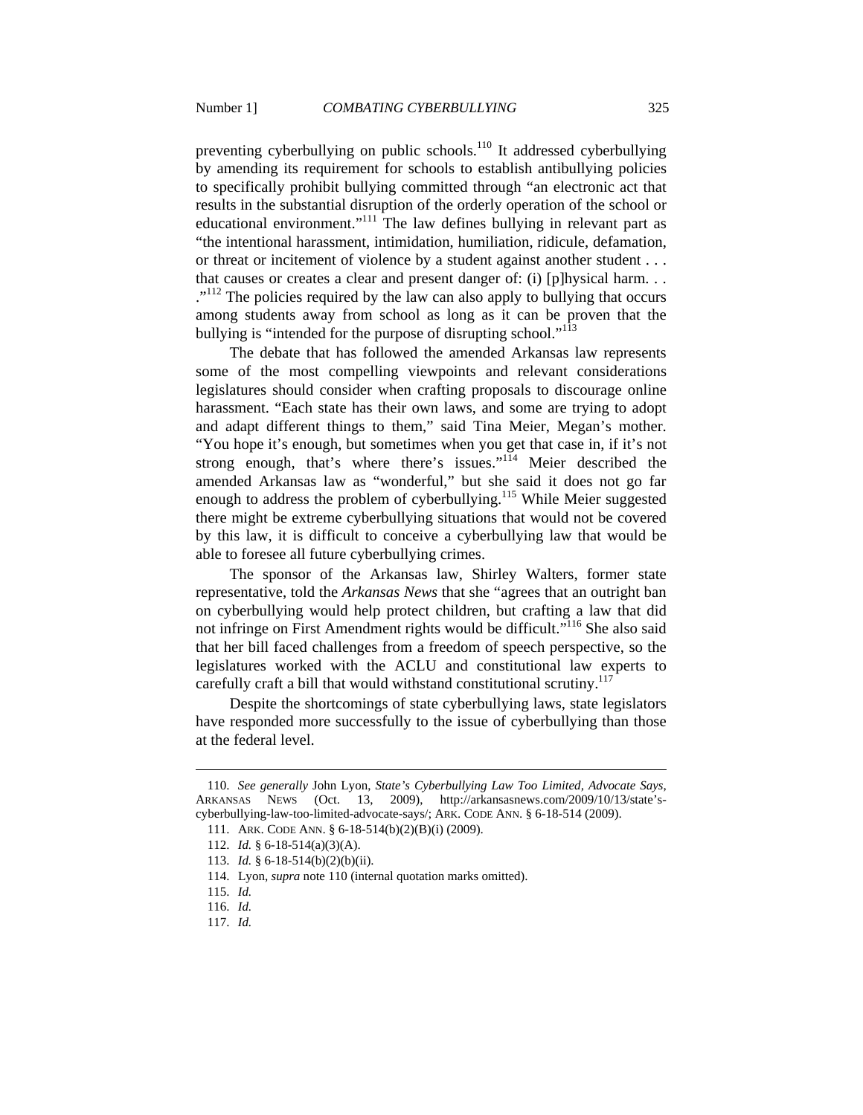preventing cyberbullying on public schools.<sup>110</sup> It addressed cyberbullying by amending its requirement for schools to establish antibullying policies to specifically prohibit bullying committed through "an electronic act that results in the substantial disruption of the orderly operation of the school or educational environment."<sup>111</sup> The law defines bullying in relevant part as "the intentional harassment, intimidation, humiliation, ridicule, defamation, or threat or incitement of violence by a student against another student . . . that causes or creates a clear and present danger of: (i) [p]hysical harm. . .  $\cdot$ <sup>112</sup>. The policies required by the law can also apply to bullying that occurs among students away from school as long as it can be proven that the bullying is "intended for the purpose of disrupting school."<sup>113</sup>

The debate that has followed the amended Arkansas law represents some of the most compelling viewpoints and relevant considerations legislatures should consider when crafting proposals to discourage online harassment. "Each state has their own laws, and some are trying to adopt and adapt different things to them," said Tina Meier, Megan's mother. "You hope it's enough, but sometimes when you get that case in, if it's not strong enough, that's where there's issues."<sup>114</sup> Meier described the amended Arkansas law as "wonderful," but she said it does not go far enough to address the problem of cyberbullying.<sup>115</sup> While Meier suggested there might be extreme cyberbullying situations that would not be covered by this law, it is difficult to conceive a cyberbullying law that would be able to foresee all future cyberbullying crimes.

The sponsor of the Arkansas law, Shirley Walters, former state representative, told the *Arkansas News* that she "agrees that an outright ban on cyberbullying would help protect children, but crafting a law that did not infringe on First Amendment rights would be difficult."116 She also said that her bill faced challenges from a freedom of speech perspective, so the legislatures worked with the ACLU and constitutional law experts to carefully craft a bill that would withstand constitutional scrutiny.<sup>117</sup>

Despite the shortcomings of state cyberbullying laws, state legislators have responded more successfully to the issue of cyberbullying than those at the federal level.

 <sup>110.</sup> *See generally* John Lyon, *State's Cyberbullying Law Too Limited, Advocate Says*, ARKANSAS NEWS (Oct. 13, 2009), http://arkansasnews.com/2009/10/13/state'scyberbullying-law-too-limited-advocate-says/; ARK. CODE ANN. § 6-18-514 (2009).

 <sup>111.</sup> ARK. CODE ANN. § 6-18-514(b)(2)(B)(i) (2009).

 <sup>112.</sup> *Id.* § 6-18-514(a)(3)(A).

 <sup>113.</sup> *Id.* § 6-18-514(b)(2)(b)(ii).

 <sup>114.</sup> Lyon, *supra* note 110 (internal quotation marks omitted).

 <sup>115.</sup> *Id.*

 <sup>116.</sup> *Id.*

 <sup>117.</sup> *Id.*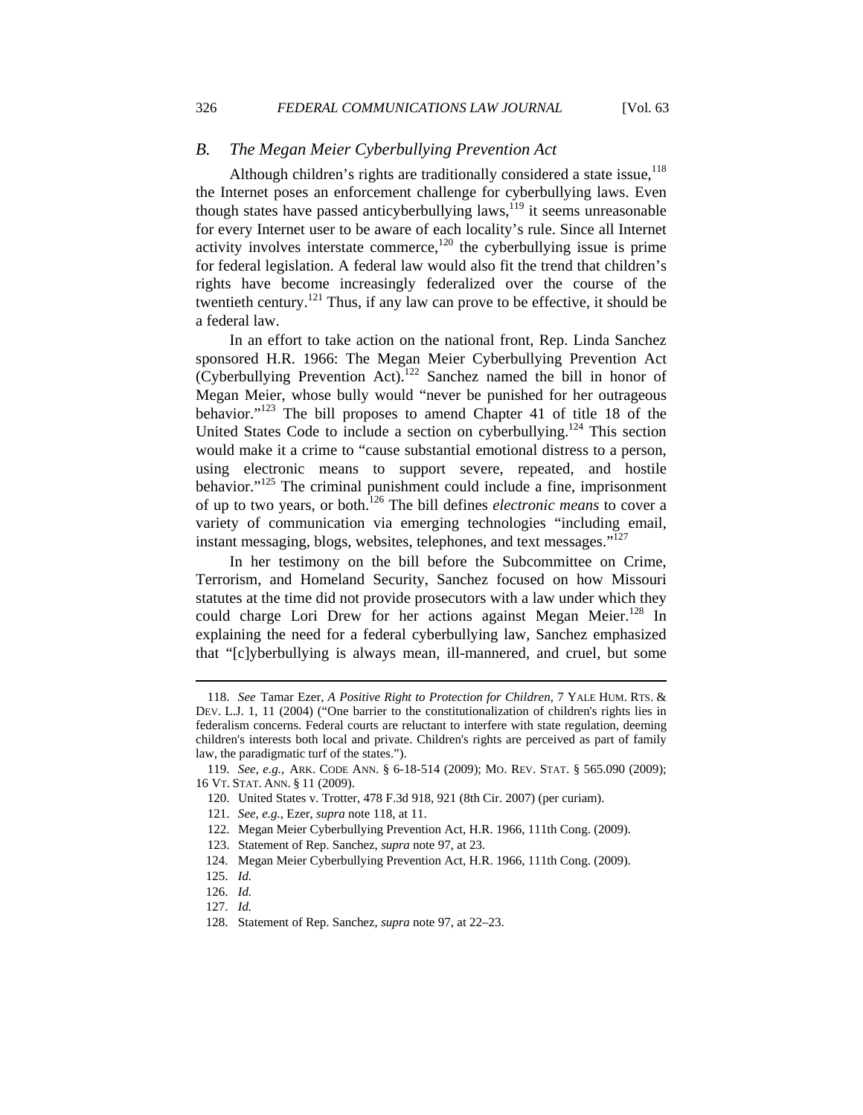## *B. The Megan Meier Cyberbullying Prevention Act*

Although children's rights are traditionally considered a state issue,  $^{118}$ the Internet poses an enforcement challenge for cyberbullying laws. Even though states have passed anticyberbullying laws,  $119$  it seems unreasonable for every Internet user to be aware of each locality's rule. Since all Internet activity involves interstate commerce, $120$  the cyberbullying issue is prime for federal legislation. A federal law would also fit the trend that children's rights have become increasingly federalized over the course of the twentieth century.<sup>121</sup> Thus, if any law can prove to be effective, it should be a federal law.

In an effort to take action on the national front, Rep. Linda Sanchez sponsored H.R. 1966: The Megan Meier Cyberbullying Prevention Act  $(Cyberbullying$  Prevention Act).<sup>122</sup> Sanchez named the bill in honor of Megan Meier, whose bully would "never be punished for her outrageous behavior."123 The bill proposes to amend Chapter 41 of title 18 of the United States Code to include a section on cyberbullying.<sup>124</sup> This section would make it a crime to "cause substantial emotional distress to a person, using electronic means to support severe, repeated, and hostile behavior. $125$  The criminal punishment could include a fine, imprisonment of up to two years, or both.126 The bill defines *electronic means* to cover a variety of communication via emerging technologies "including email, instant messaging, blogs, websites, telephones, and text messages."<sup>127</sup>

In her testimony on the bill before the Subcommittee on Crime, Terrorism, and Homeland Security, Sanchez focused on how Missouri statutes at the time did not provide prosecutors with a law under which they could charge Lori Drew for her actions against Megan Meier.<sup>128</sup> In explaining the need for a federal cyberbullying law, Sanchez emphasized that "[c]yberbullying is always mean, ill-mannered, and cruel, but some

 <sup>118.</sup> *See* Tamar Ezer, *A Positive Right to Protection for Children*, 7 YALE HUM. RTS. & DEV. L.J. 1, 11 (2004) ("One barrier to the constitutionalization of children's rights lies in federalism concerns. Federal courts are reluctant to interfere with state regulation, deeming children's interests both local and private. Children's rights are perceived as part of family law, the paradigmatic turf of the states.").

 <sup>119.</sup> *See, e.g.*, ARK. CODE ANN. § 6-18-514 (2009); MO. REV. STAT. § 565.090 (2009); 16 VT. STAT. ANN. § 11 (2009).

 <sup>120.</sup> United States v. Trotter, 478 F.3d 918, 921 (8th Cir. 2007) (per curiam).

 <sup>121.</sup> *See, e.g.*, Ezer, *supra* note 118, at 11.

 <sup>122.</sup> Megan Meier Cyberbullying Prevention Act, H.R. 1966, 111th Cong. (2009).

 <sup>123.</sup> Statement of Rep. Sanchez, *supra* note 97, at 23.

<sup>124.</sup> Megan Meier Cyberbullying Prevention Act, H.R. 1966, 111th Cong. (2009).

<sup>125.</sup> *Id.*

<sup>126.</sup> *Id.*

<sup>127.</sup> *Id.*

<sup>128.</sup> Statement of Rep. Sanchez, *supra* note 97, at 22–23.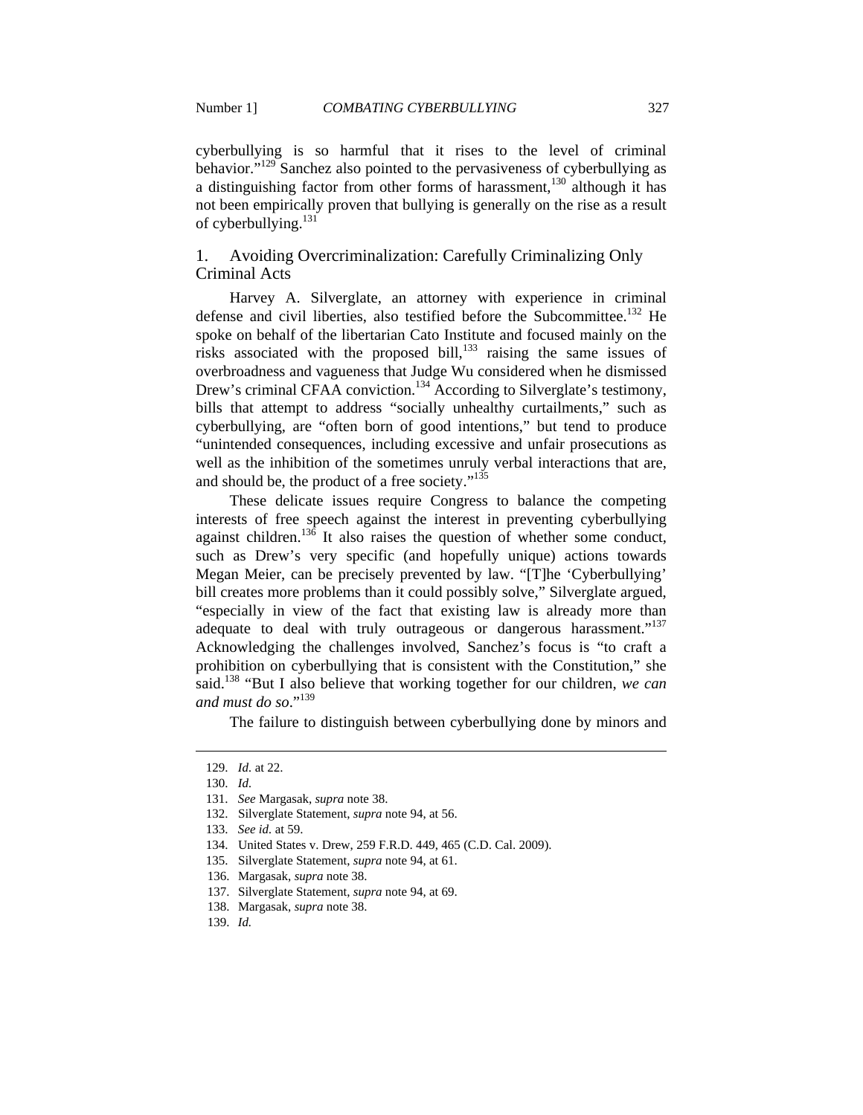cyberbullying is so harmful that it rises to the level of criminal behavior."<sup>129</sup> Sanchez also pointed to the pervasiveness of cyberbullying as a distinguishing factor from other forms of harassment,  $130$  although it has not been empirically proven that bullying is generally on the rise as a result of cyberbullying.<sup>131</sup>

1. Avoiding Overcriminalization: Carefully Criminalizing Only Criminal Acts

Harvey A. Silverglate, an attorney with experience in criminal defense and civil liberties, also testified before the Subcommittee.<sup>132</sup> He spoke on behalf of the libertarian Cato Institute and focused mainly on the risks associated with the proposed bill, $^{133}$  raising the same issues of overbroadness and vagueness that Judge Wu considered when he dismissed Drew's criminal CFAA conviction.<sup>134</sup> According to Silverglate's testimony, bills that attempt to address "socially unhealthy curtailments," such as cyberbullying, are "often born of good intentions," but tend to produce "unintended consequences, including excessive and unfair prosecutions as well as the inhibition of the sometimes unruly verbal interactions that are, and should be, the product of a free society."<sup>135</sup>

These delicate issues require Congress to balance the competing interests of free speech against the interest in preventing cyberbullying against children.<sup>136</sup> It also raises the question of whether some conduct, such as Drew's very specific (and hopefully unique) actions towards Megan Meier, can be precisely prevented by law. "[T]he 'Cyberbullying' bill creates more problems than it could possibly solve," Silverglate argued, "especially in view of the fact that existing law is already more than adequate to deal with truly outrageous or dangerous harassment."<sup>137</sup> Acknowledging the challenges involved, Sanchez's focus is "to craft a prohibition on cyberbullying that is consistent with the Constitution," she said.138 "But I also believe that working together for our children, *we can*  and must do so."<sup>139</sup>

The failure to distinguish between cyberbullying done by minors and

<sup>129.</sup> *Id.* at 22.

<sup>130.</sup> *Id.* 

<sup>131.</sup> *See* Margasak, *supra* note 38.

<sup>132.</sup> Silverglate Statement, *supra* note 94, at 56.

<sup>133.</sup> *See id.* at 59.

<sup>134.</sup> United States v. Drew, 259 F.R.D. 449, 465 (C.D. Cal. 2009).

<sup>135.</sup> Silverglate Statement, *supra* note 94, at 61.

 <sup>136.</sup> Margasak, *supra* note 38.

 <sup>137.</sup> Silverglate Statement, *supra* note 94, at 69.

 <sup>138.</sup> Margasak, *supra* note 38.

 <sup>139.</sup> *Id.*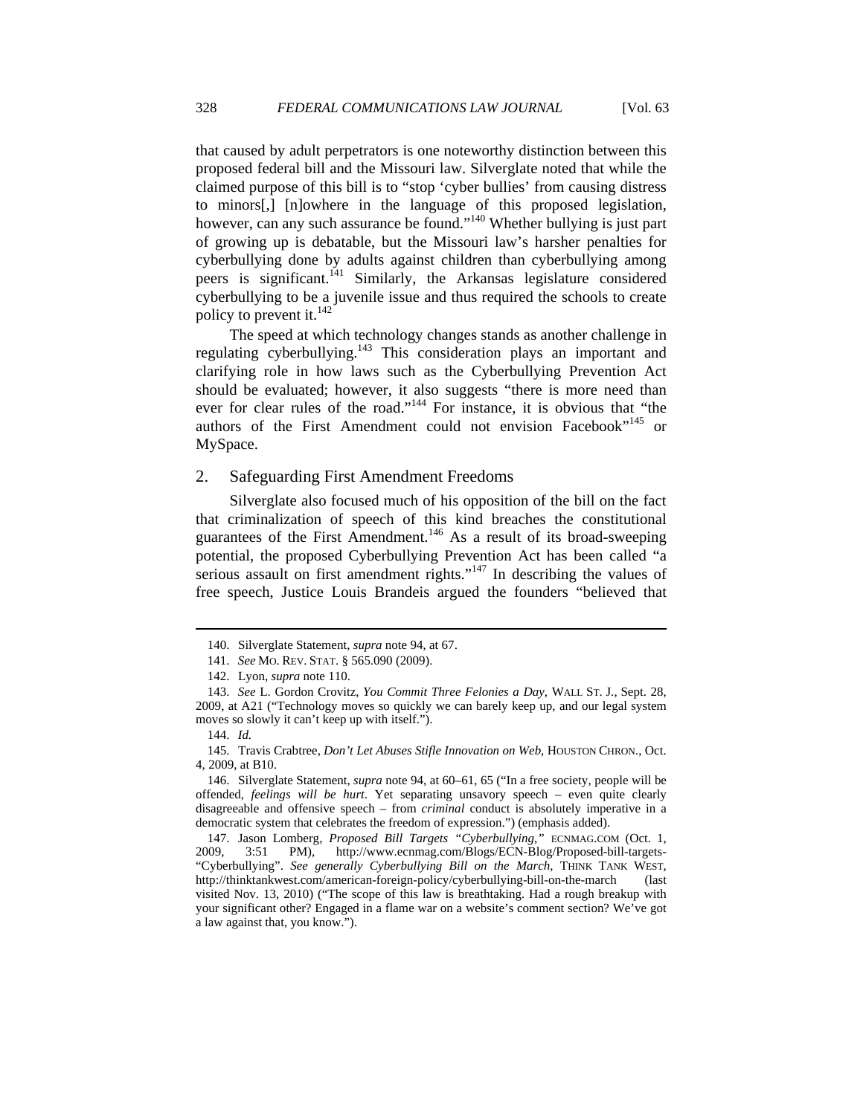that caused by adult perpetrators is one noteworthy distinction between this proposed federal bill and the Missouri law. Silverglate noted that while the claimed purpose of this bill is to "stop 'cyber bullies' from causing distress to minors[,] [n]owhere in the language of this proposed legislation, however, can any such assurance be found."<sup>140</sup> Whether bullying is just part of growing up is debatable, but the Missouri law's harsher penalties for cyberbullying done by adults against children than cyberbullying among peers is significant.<sup>141</sup> Similarly, the Arkansas legislature considered cyberbullying to be a juvenile issue and thus required the schools to create policy to prevent it. $^{142}$ 

The speed at which technology changes stands as another challenge in regulating cyberbullying.<sup>143</sup> This consideration plays an important and clarifying role in how laws such as the Cyberbullying Prevention Act should be evaluated; however, it also suggests "there is more need than ever for clear rules of the road."<sup>144</sup> For instance, it is obvious that "the authors of the First Amendment could not envision Facebook"<sup>145</sup> or MySpace.

#### 2. Safeguarding First Amendment Freedoms

Silverglate also focused much of his opposition of the bill on the fact that criminalization of speech of this kind breaches the constitutional guarantees of the First Amendment.146 As a result of its broad-sweeping potential, the proposed Cyberbullying Prevention Act has been called "a serious assault on first amendment rights."<sup>147</sup> In describing the values of free speech, Justice Louis Brandeis argued the founders "believed that

 <sup>140.</sup> Silverglate Statement, *supra* note 94, at 67.

 <sup>141.</sup> *See* MO. REV. STAT. § 565.090 (2009).

 <sup>142.</sup> Lyon, *supra* note 110.

 <sup>143.</sup> *See* L. Gordon Crovitz, *You Commit Three Felonies a Day*, WALL ST. J., Sept. 28, 2009, at A21 ("Technology moves so quickly we can barely keep up, and our legal system moves so slowly it can't keep up with itself.").

 <sup>144.</sup> *Id.*

 <sup>145.</sup> Travis Crabtree, *Don't Let Abuses Stifle Innovation on Web*, HOUSTON CHRON., Oct. 4, 2009, at B10.

 <sup>146.</sup> Silverglate Statement, *supra* note 94, at 60–61, 65 ("In a free society, people will be offended, *feelings will be hurt*. Yet separating unsavory speech – even quite clearly disagreeable and offensive speech – from *criminal* conduct is absolutely imperative in a democratic system that celebrates the freedom of expression.") (emphasis added).

 <sup>147.</sup> Jason Lomberg, *Proposed Bill Targets "Cyberbullying*,*"* ECNMAG.COM (Oct. 1, 2009, 3:51 PM), http://www.ecnmag.com/Blogs/ECN-Blog/Proposed-bill-targets- "Cyberbullying". *See generally Cyberbullying Bill on the March*, THINK TANK WEST, http://thinktankwest.com/american-foreign-policy/cyberbullying-bill-on-the-march (last visited Nov. 13, 2010) ("The scope of this law is breathtaking. Had a rough breakup with your significant other? Engaged in a flame war on a website's comment section? We've got a law against that, you know.").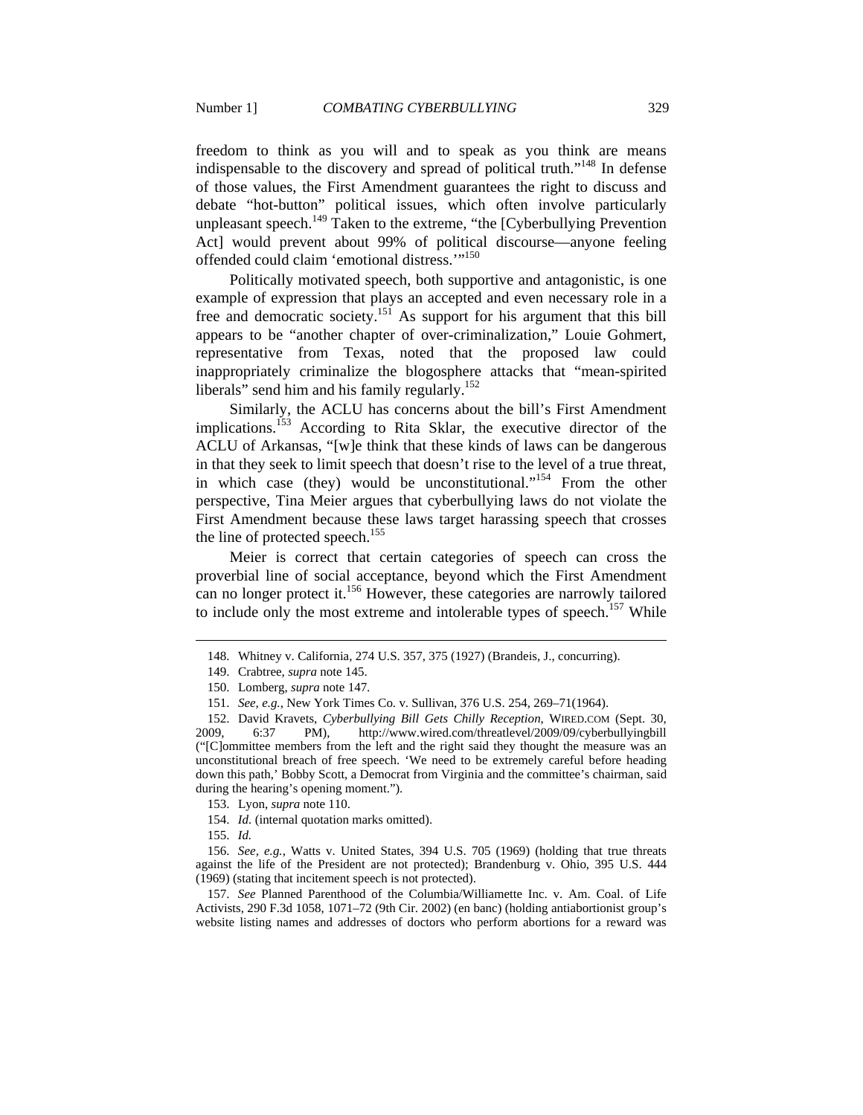freedom to think as you will and to speak as you think are means indispensable to the discovery and spread of political truth."148 In defense of those values, the First Amendment guarantees the right to discuss and debate "hot-button" political issues, which often involve particularly unpleasant speech.<sup>149</sup> Taken to the extreme, "the  $[Cyberbullying$  Prevention Act] would prevent about 99% of political discourse—anyone feeling offended could claim 'emotional distress."<sup>150</sup>

Politically motivated speech, both supportive and antagonistic, is one example of expression that plays an accepted and even necessary role in a free and democratic society.151 As support for his argument that this bill appears to be "another chapter of over-criminalization," Louie Gohmert, representative from Texas, noted that the proposed law could inappropriately criminalize the blogosphere attacks that "mean-spirited liberals" send him and his family regularly.<sup>152</sup>

Similarly, the ACLU has concerns about the bill's First Amendment implications.<sup>153</sup> According to Rita Sklar, the executive director of the ACLU of Arkansas, "[w]e think that these kinds of laws can be dangerous in that they seek to limit speech that doesn't rise to the level of a true threat, in which case (they) would be unconstitutional."<sup>154</sup> From the other perspective, Tina Meier argues that cyberbullying laws do not violate the First Amendment because these laws target harassing speech that crosses the line of protected speech.<sup>155</sup>

Meier is correct that certain categories of speech can cross the proverbial line of social acceptance, beyond which the First Amendment can no longer protect it.<sup>156</sup> However, these categories are narrowly tailored to include only the most extreme and intolerable types of speech.<sup>157</sup> While

155. *Id.*

 $\overline{a}$ 

 156. *See, e.g.*, Watts v. United States, 394 U.S. 705 (1969) (holding that true threats against the life of the President are not protected); Brandenburg v. Ohio, 395 U.S. 444 (1969) (stating that incitement speech is not protected).

 157. *See* Planned Parenthood of the Columbia/Williamette Inc. v. Am. Coal. of Life Activists, 290 F.3d 1058, 1071–72 (9th Cir. 2002) (en banc) (holding antiabortionist group's website listing names and addresses of doctors who perform abortions for a reward was

 <sup>148.</sup> Whitney v. California, 274 U.S. 357, 375 (1927) (Brandeis, J., concurring).

 <sup>149.</sup> Crabtree, *supra* note 145.

 <sup>150.</sup> Lomberg, *supra* note 147.

 <sup>151.</sup> *See, e.g.*, New York Times Co. v. Sullivan, 376 U.S. 254, 269–71(1964).

 <sup>152.</sup> David Kravets, *Cyberbullying Bill Gets Chilly Reception*, WIRED.COM (Sept. 30, 2009, 6:37 PM), http://www.wired.com/threatlevel/2009/09/cyberbullyingbill ("[C]ommittee members from the left and the right said they thought the measure was an unconstitutional breach of free speech. 'We need to be extremely careful before heading down this path,' Bobby Scott, a Democrat from Virginia and the committee's chairman, said during the hearing's opening moment.").

 <sup>153.</sup> Lyon, *supra* note 110.

 <sup>154.</sup> *Id.* (internal quotation marks omitted).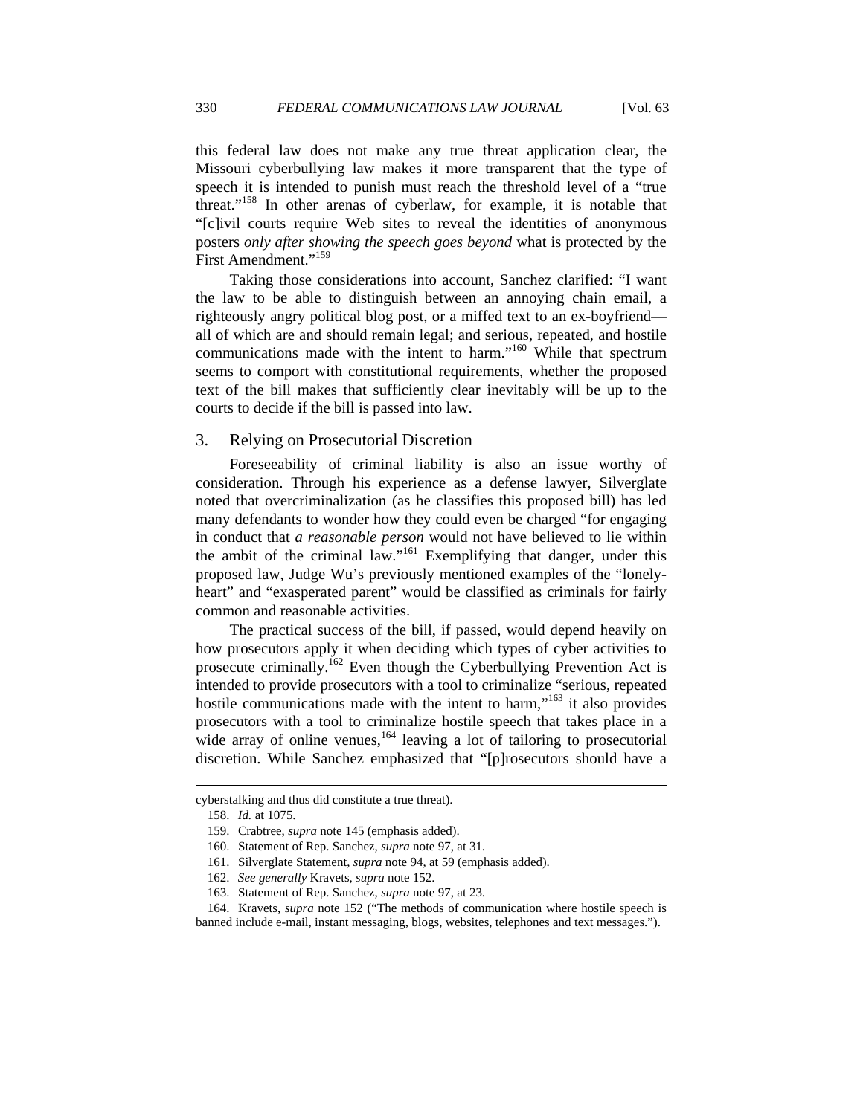this federal law does not make any true threat application clear, the Missouri cyberbullying law makes it more transparent that the type of speech it is intended to punish must reach the threshold level of a "true threat."158 In other arenas of cyberlaw, for example, it is notable that "[c]ivil courts require Web sites to reveal the identities of anonymous posters *only after showing the speech goes beyond* what is protected by the

Taking those considerations into account, Sanchez clarified: "I want the law to be able to distinguish between an annoying chain email, a righteously angry political blog post, or a miffed text to an ex-boyfriend all of which are and should remain legal; and serious, repeated, and hostile communications made with the intent to harm."160 While that spectrum seems to comport with constitutional requirements, whether the proposed text of the bill makes that sufficiently clear inevitably will be up to the courts to decide if the bill is passed into law.

#### 3. Relying on Prosecutorial Discretion

First Amendment."<sup>159</sup>

Foreseeability of criminal liability is also an issue worthy of consideration. Through his experience as a defense lawyer, Silverglate noted that overcriminalization (as he classifies this proposed bill) has led many defendants to wonder how they could even be charged "for engaging in conduct that *a reasonable person* would not have believed to lie within the ambit of the criminal law."<sup>161</sup> Exemplifying that danger, under this proposed law, Judge Wu's previously mentioned examples of the "lonelyheart" and "exasperated parent" would be classified as criminals for fairly common and reasonable activities.

The practical success of the bill, if passed, would depend heavily on how prosecutors apply it when deciding which types of cyber activities to prosecute criminally.<sup>162</sup> Even though the Cyberbullying Prevention Act is intended to provide prosecutors with a tool to criminalize "serious, repeated hostile communications made with the intent to harm,"<sup>163</sup> it also provides prosecutors with a tool to criminalize hostile speech that takes place in a wide array of online venues,  $164$  leaving a lot of tailoring to prosecutorial discretion. While Sanchez emphasized that "[p]rosecutors should have a

cyberstalking and thus did constitute a true threat).

 <sup>158.</sup> *Id.* at 1075.

 <sup>159.</sup> Crabtree, *supra* note 145 (emphasis added).

 <sup>160.</sup> Statement of Rep. Sanchez, *supra* note 97, at 31.

 <sup>161.</sup> Silverglate Statement, *supra* note 94, at 59 (emphasis added).

 <sup>162.</sup> *See generally* Kravets, *supra* note 152.

 <sup>163.</sup> Statement of Rep. Sanchez, *supra* note 97, at 23.

 <sup>164.</sup> Kravets, *supra* note 152 ("The methods of communication where hostile speech is banned include e-mail, instant messaging, blogs, websites, telephones and text messages.").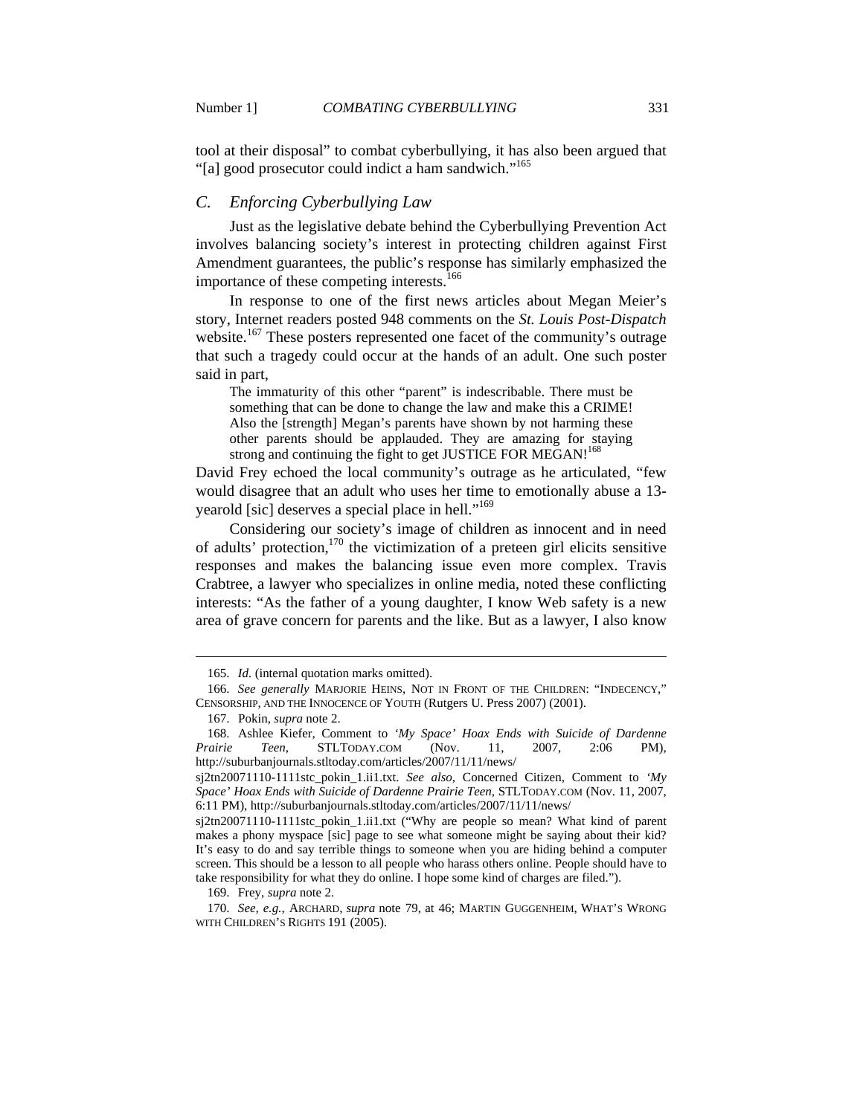tool at their disposal" to combat cyberbullying, it has also been argued that "[a] good prosecutor could indict a ham sandwich."<sup>165</sup>

## *C. Enforcing Cyberbullying Law*

Just as the legislative debate behind the Cyberbullying Prevention Act involves balancing society's interest in protecting children against First Amendment guarantees, the public's response has similarly emphasized the importance of these competing interests.<sup>166</sup>

In response to one of the first news articles about Megan Meier's story, Internet readers posted 948 comments on the *St. Louis Post-Dispatch* website.<sup>167</sup> These posters represented one facet of the community's outrage that such a tragedy could occur at the hands of an adult. One such poster said in part,

The immaturity of this other "parent" is indescribable. There must be something that can be done to change the law and make this a CRIME! Also the [strength] Megan's parents have shown by not harming these other parents should be applauded. They are amazing for staying strong and continuing the fight to get JUSTICE FOR MEGAN!<sup>168</sup>

David Frey echoed the local community's outrage as he articulated, "few would disagree that an adult who uses her time to emotionally abuse a 13 yearold [sic] deserves a special place in hell."169

Considering our society's image of children as innocent and in need of adults' protection,<sup>170</sup> the victimization of a preteen girl elicits sensitive responses and makes the balancing issue even more complex. Travis Crabtree, a lawyer who specializes in online media, noted these conflicting interests: "As the father of a young daughter, I know Web safety is a new area of grave concern for parents and the like. But as a lawyer, I also know

 $\overline{a}$ 

169. Frey, *supra* note 2.

 170. *See, e.g.*, ARCHARD, *supra* note 79, at 46; MARTIN GUGGENHEIM, WHAT'S WRONG WITH CHILDREN'S RIGHTS 191 (2005).

 <sup>165.</sup> *Id.* (internal quotation marks omitted).

 <sup>166.</sup> *See generally* MARJORIE HEINS, NOT IN FRONT OF THE CHILDREN: "INDECENCY," CENSORSHIP, AND THE INNOCENCE OF YOUTH (Rutgers U. Press 2007) (2001).

 <sup>167.</sup> Pokin, *supra* note 2.

 <sup>168.</sup> Ashlee Kiefer, Comment to *'My Space' Hoax Ends with Suicide of Dardenne Prairie Teen*, STLTODAY.COM (Nov. 11, 2007, 2:06 PM), http://suburbanjournals.stltoday.com/articles/2007/11/11/news/

sj2tn20071110-1111stc\_pokin\_1.ii1.txt. *See also*, Concerned Citizen, Comment to *'My Space' Hoax Ends with Suicide of Dardenne Prairie Teen*, STLTODAY.COM (Nov. 11, 2007, 6:11 PM), http://suburbanjournals.stltoday.com/articles/2007/11/11/news/

sj2tn20071110-1111stc\_pokin\_1.ii1.txt ("Why are people so mean? What kind of parent makes a phony myspace [sic] page to see what someone might be saying about their kid? It's easy to do and say terrible things to someone when you are hiding behind a computer screen. This should be a lesson to all people who harass others online. People should have to take responsibility for what they do online. I hope some kind of charges are filed.").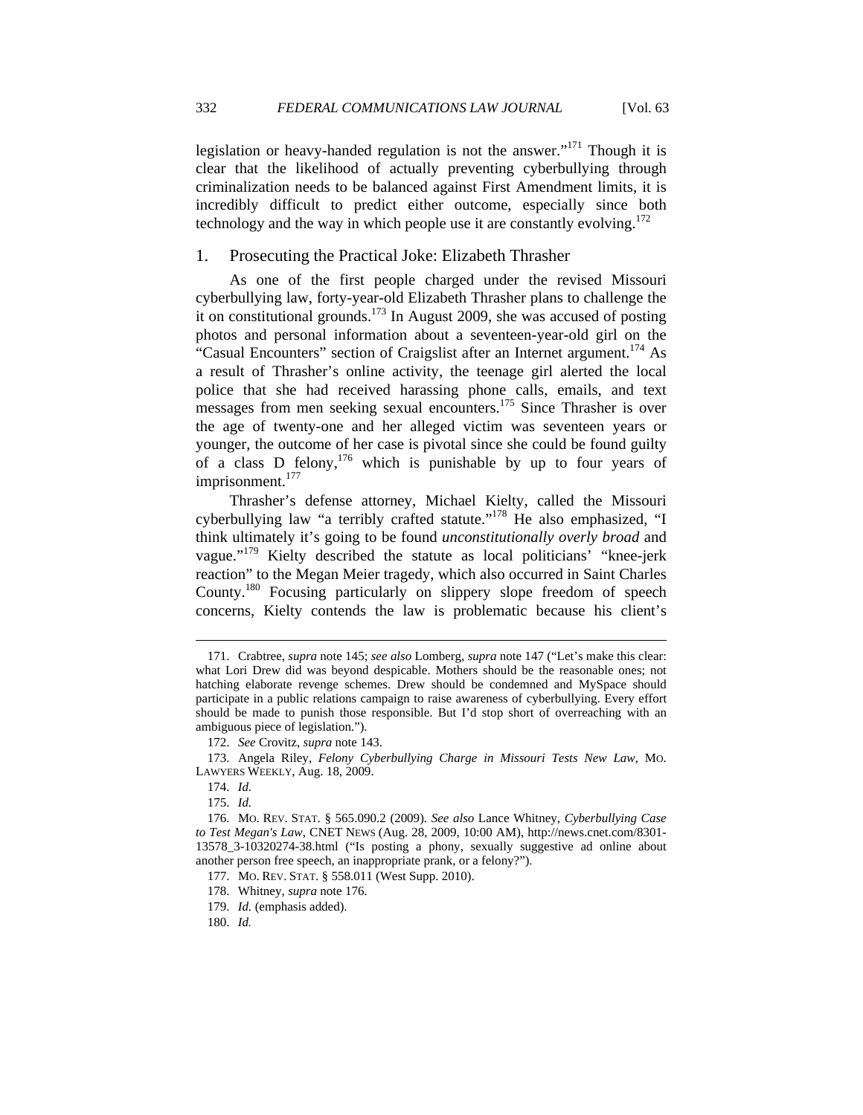legislation or heavy-handed regulation is not the answer."<sup>171</sup> Though it is clear that the likelihood of actually preventing cyberbullying through criminalization needs to be balanced against First Amendment limits, it is incredibly difficult to predict either outcome, especially since both technology and the way in which people use it are constantly evolving.<sup>172</sup>

#### 1. Prosecuting the Practical Joke: Elizabeth Thrasher

As one of the first people charged under the revised Missouri cyberbullying law, forty-year-old Elizabeth Thrasher plans to challenge the it on constitutional grounds.<sup>173</sup> In August 2009, she was accused of posting photos and personal information about a seventeen-year-old girl on the "Casual Encounters" section of Craigslist after an Internet argument.<sup>174</sup> As a result of Thrasher's online activity, the teenage girl alerted the local police that she had received harassing phone calls, emails, and text messages from men seeking sexual encounters.<sup>175</sup> Since Thrasher is over the age of twenty-one and her alleged victim was seventeen years or younger, the outcome of her case is pivotal since she could be found guilty of a class D felony,  $176$  which is punishable by up to four years of imprisonment.<sup>177</sup>

Thrasher's defense attorney, Michael Kielty, called the Missouri cyberbullying law "a terribly crafted statute."<sup>178</sup> He also emphasized, "I think ultimately it's going to be found *unconstitutionally overly broad* and vague."179 Kielty described the statute as local politicians' "knee-jerk reaction" to the Megan Meier tragedy, which also occurred in Saint Charles County.180 Focusing particularly on slippery slope freedom of speech concerns, Kielty contends the law is problematic because his client's

 <sup>171.</sup> Crabtree, *supra* note 145; *see also* Lomberg, *supra* note 147 ("Let's make this clear: what Lori Drew did was beyond despicable. Mothers should be the reasonable ones; not hatching elaborate revenge schemes. Drew should be condemned and MySpace should participate in a public relations campaign to raise awareness of cyberbullying. Every effort should be made to punish those responsible. But I'd stop short of overreaching with an ambiguous piece of legislation.").

 <sup>172.</sup> *See* Crovitz, *supra* note 143.

 <sup>173.</sup> Angela Riley, *Felony Cyberbullying Charge in Missouri Tests New Law*, MO. LAWYERS WEEKLY, Aug. 18, 2009.

 <sup>174.</sup> *Id.*

 <sup>175.</sup> *Id.*

 <sup>176.</sup> MO. REV. STAT. § 565.090.2 (2009). *See also* Lance Whitney, *Cyberbullying Case to Test Megan's Law*, CNET NEWS (Aug. 28, 2009, 10:00 AM), http://news.cnet.com/8301- 13578\_3-10320274-38.html ("Is posting a phony, sexually suggestive ad online about another person free speech, an inappropriate prank, or a felony?").

 <sup>177.</sup> MO. REV. STAT. § 558.011 (West Supp. 2010).

 <sup>178.</sup> Whitney, *supra* note 176.

 <sup>179.</sup> *Id.* (emphasis added).

 <sup>180.</sup> *Id.*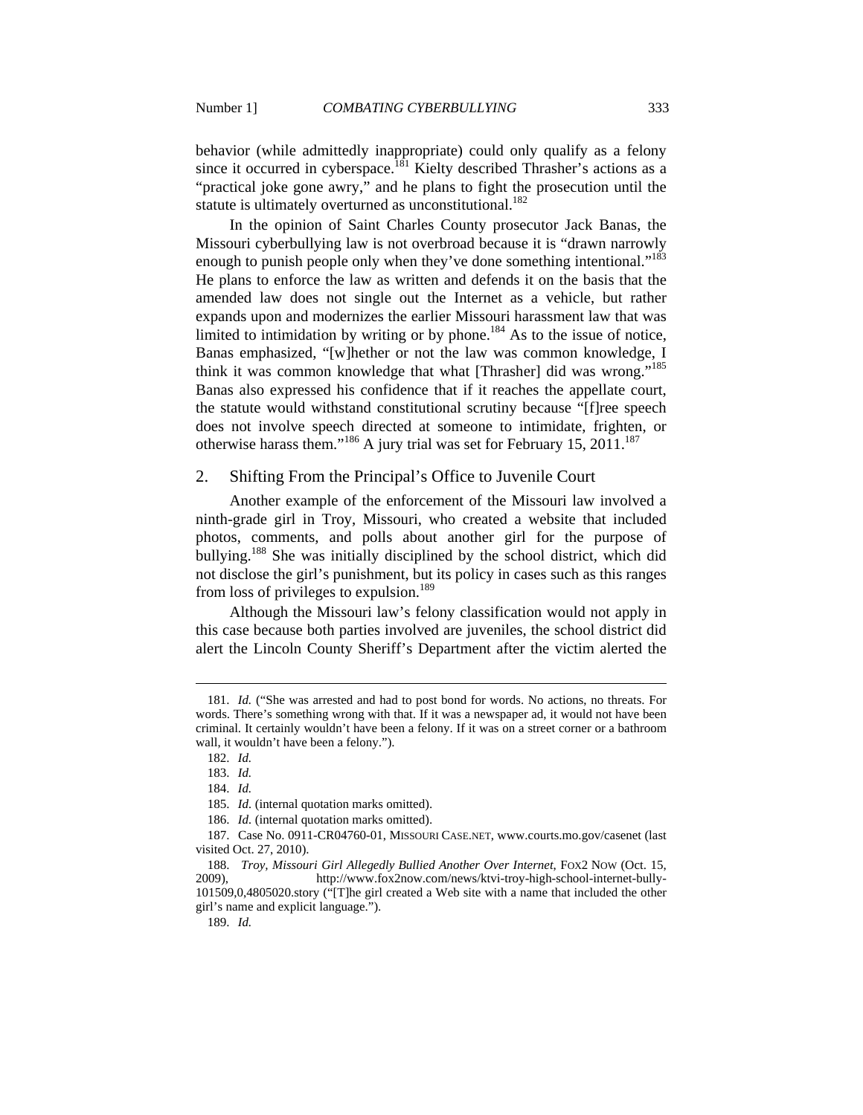behavior (while admittedly inappropriate) could only qualify as a felony since it occurred in cyberspace.<sup>181</sup> Kielty described Thrasher's actions as a "practical joke gone awry," and he plans to fight the prosecution until the statute is ultimately overturned as unconstitutional.<sup>182</sup>

In the opinion of Saint Charles County prosecutor Jack Banas, the Missouri cyberbullying law is not overbroad because it is "drawn narrowly enough to punish people only when they've done something intentional."<sup>183</sup> He plans to enforce the law as written and defends it on the basis that the amended law does not single out the Internet as a vehicle, but rather expands upon and modernizes the earlier Missouri harassment law that was limited to intimidation by writing or by phone.<sup>184</sup> As to the issue of notice, Banas emphasized, "[w]hether or not the law was common knowledge, I think it was common knowledge that what [Thrasher] did was wrong."185 Banas also expressed his confidence that if it reaches the appellate court, the statute would withstand constitutional scrutiny because "[f]ree speech does not involve speech directed at someone to intimidate, frighten, or otherwise harass them."<sup>186</sup> A jury trial was set for February 15, 2011.<sup>187</sup>

#### 2. Shifting From the Principal's Office to Juvenile Court

Another example of the enforcement of the Missouri law involved a ninth-grade girl in Troy, Missouri, who created a website that included photos, comments, and polls about another girl for the purpose of bullying.<sup>188</sup> She was initially disciplined by the school district, which did not disclose the girl's punishment, but its policy in cases such as this ranges from loss of privileges to expulsion.<sup>189</sup>

Although the Missouri law's felony classification would not apply in this case because both parties involved are juveniles, the school district did alert the Lincoln County Sheriff's Department after the victim alerted the

 <sup>181.</sup> *Id.* ("She was arrested and had to post bond for words. No actions, no threats. For words. There's something wrong with that. If it was a newspaper ad, it would not have been criminal. It certainly wouldn't have been a felony. If it was on a street corner or a bathroom wall, it wouldn't have been a felony.").

 <sup>182.</sup> *Id.*

 <sup>183.</sup> *Id.*

 <sup>184.</sup> *Id.*

 <sup>185.</sup> *Id.* (internal quotation marks omitted).

 <sup>186.</sup> *Id.* (internal quotation marks omitted).

 <sup>187.</sup> Case No. 0911-CR04760-01, MISSOURI CASE.NET, www.courts.mo.gov/casenet (last visited Oct. 27, 2010).

 <sup>188.</sup> *Troy, Missouri Girl Allegedly Bullied Another Over Internet*, FOX2 NOW (Oct. 15, 2009), http://www.fox2now.com/news/ktvi-troy-high-school-internet-bully-101509,0,4805020.story ("[T]he girl created a Web site with a name that included the other girl's name and explicit language.").

 <sup>189.</sup> *Id.*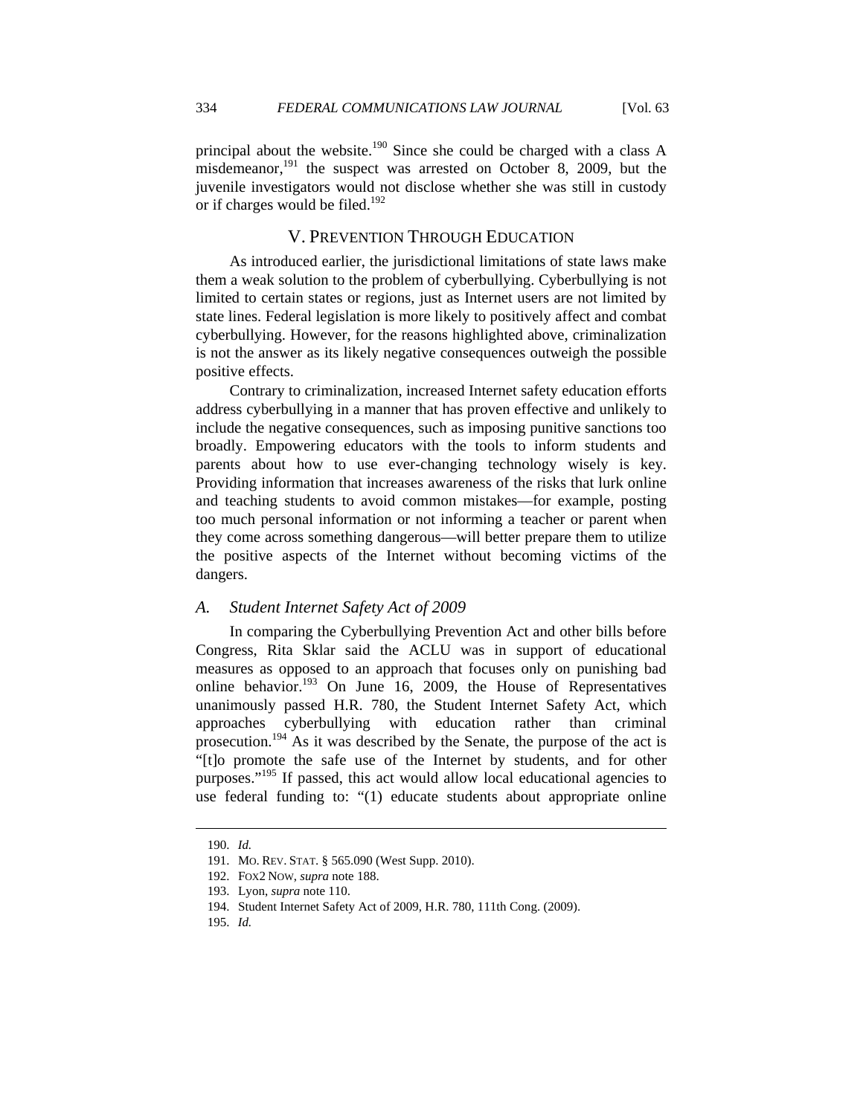principal about the website.<sup>190</sup> Since she could be charged with a class A misdemeanor, $^{191}$  the suspect was arrested on October 8, 2009, but the juvenile investigators would not disclose whether she was still in custody or if charges would be filed.<sup>192</sup>

## V. PREVENTION THROUGH EDUCATION

As introduced earlier, the jurisdictional limitations of state laws make them a weak solution to the problem of cyberbullying. Cyberbullying is not limited to certain states or regions, just as Internet users are not limited by state lines. Federal legislation is more likely to positively affect and combat cyberbullying. However, for the reasons highlighted above, criminalization is not the answer as its likely negative consequences outweigh the possible positive effects.

Contrary to criminalization, increased Internet safety education efforts address cyberbullying in a manner that has proven effective and unlikely to include the negative consequences, such as imposing punitive sanctions too broadly. Empowering educators with the tools to inform students and parents about how to use ever-changing technology wisely is key. Providing information that increases awareness of the risks that lurk online and teaching students to avoid common mistakes—for example, posting too much personal information or not informing a teacher or parent when they come across something dangerous—will better prepare them to utilize the positive aspects of the Internet without becoming victims of the dangers.

## *A. Student Internet Safety Act of 2009*

In comparing the Cyberbullying Prevention Act and other bills before Congress, Rita Sklar said the ACLU was in support of educational measures as opposed to an approach that focuses only on punishing bad online behavior.<sup>193</sup> On June 16, 2009, the House of Representatives unanimously passed H.R. 780, the Student Internet Safety Act, which approaches cyberbullying with education rather than criminal prosecution.<sup>194</sup> As it was described by the Senate, the purpose of the act is "[t]o promote the safe use of the Internet by students, and for other purposes."<sup>195</sup> If passed, this act would allow local educational agencies to use federal funding to: "(1) educate students about appropriate online

 <sup>190.</sup> *Id.*

 <sup>191.</sup> MO. REV. STAT. § 565.090 (West Supp. 2010).

 <sup>192.</sup> FOX2 NOW, *supra* note 188.

 <sup>193.</sup> Lyon, *supra* note 110.

 <sup>194.</sup> Student Internet Safety Act of 2009, H.R. 780, 111th Cong. (2009).

 <sup>195.</sup> *Id.*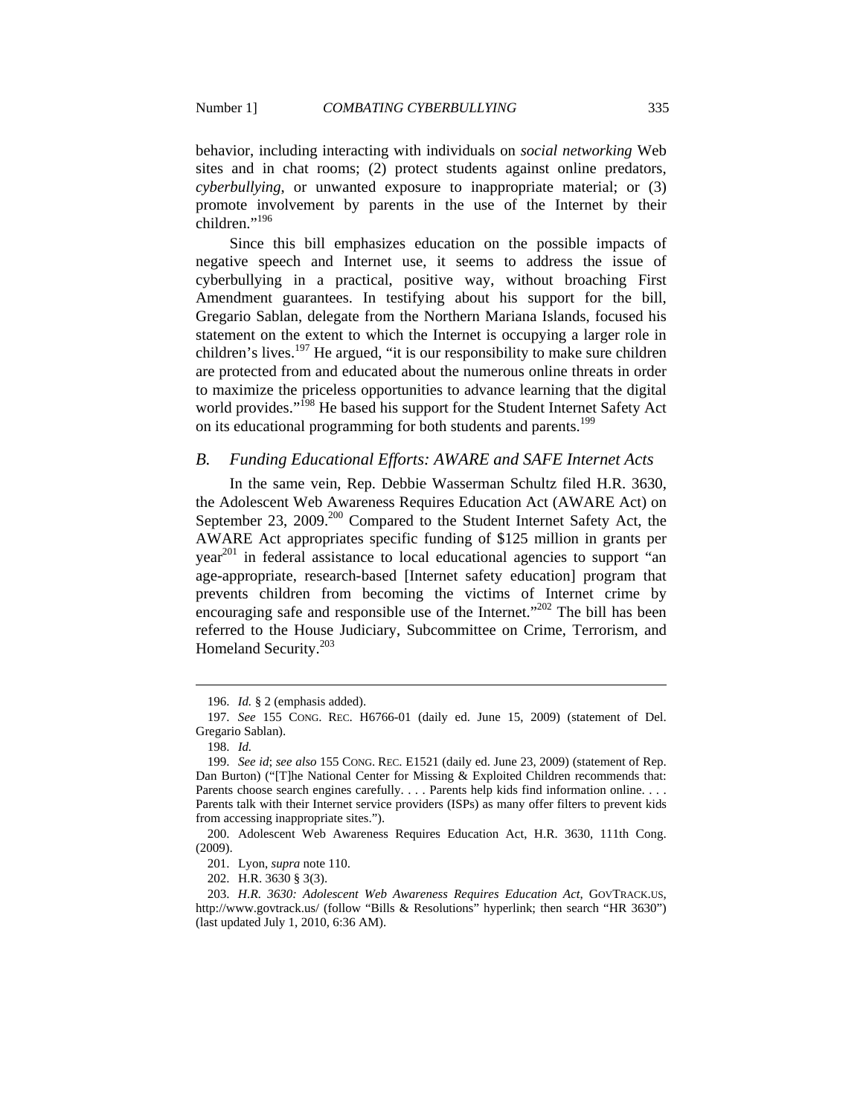behavior, including interacting with individuals on *social networking* Web sites and in chat rooms; (2) protect students against online predators, *cyberbullying*, or unwanted exposure to inappropriate material; or (3) promote involvement by parents in the use of the Internet by their  $children.$ <sup>"196</sup>

Since this bill emphasizes education on the possible impacts of negative speech and Internet use, it seems to address the issue of cyberbullying in a practical, positive way, without broaching First Amendment guarantees. In testifying about his support for the bill, Gregario Sablan, delegate from the Northern Mariana Islands, focused his statement on the extent to which the Internet is occupying a larger role in children's lives.<sup>197</sup> He argued, "it is our responsibility to make sure children are protected from and educated about the numerous online threats in order to maximize the priceless opportunities to advance learning that the digital world provides."<sup>198</sup> He based his support for the Student Internet Safety Act on its educational programming for both students and parents.<sup>199</sup>

## *B. Funding Educational Efforts: AWARE and SAFE Internet Acts*

In the same vein, Rep. Debbie Wasserman Schultz filed H.R. 3630, the Adolescent Web Awareness Requires Education Act (AWARE Act) on September 23, 2009.<sup>200</sup> Compared to the Student Internet Safety Act, the AWARE Act appropriates specific funding of \$125 million in grants per  $year<sup>201</sup>$  in federal assistance to local educational agencies to support "an age-appropriate, research-based [Internet safety education] program that prevents children from becoming the victims of Internet crime by encouraging safe and responsible use of the Internet."<sup>202</sup> The bill has been referred to the House Judiciary, Subcommittee on Crime, Terrorism, and Homeland Security.203

 $\overline{a}$ 

202. H.R. 3630 § 3(3).

 <sup>196.</sup> *Id.* § 2 (emphasis added).

 <sup>197.</sup> *See* 155 CONG. REC. H6766-01 (daily ed. June 15, 2009) (statement of Del. Gregario Sablan).

 <sup>198.</sup> *Id.*

 <sup>199.</sup> *See id*; *see also* 155 CONG. REC. E1521 (daily ed. June 23, 2009) (statement of Rep. Dan Burton) ("[T]he National Center for Missing & Exploited Children recommends that: Parents choose search engines carefully. . . . Parents help kids find information online. . . . Parents talk with their Internet service providers (ISPs) as many offer filters to prevent kids from accessing inappropriate sites.").

 <sup>200.</sup> Adolescent Web Awareness Requires Education Act, H.R. 3630, 111th Cong. (2009).

 <sup>201.</sup> Lyon, *supra* note 110.

 <sup>203.</sup> *H.R. 3630: Adolescent Web Awareness Requires Education Act*, GOVTRACK.US, http://www.govtrack.us/ (follow "Bills & Resolutions" hyperlink; then search "HR 3630") (last updated July 1, 2010, 6:36 AM).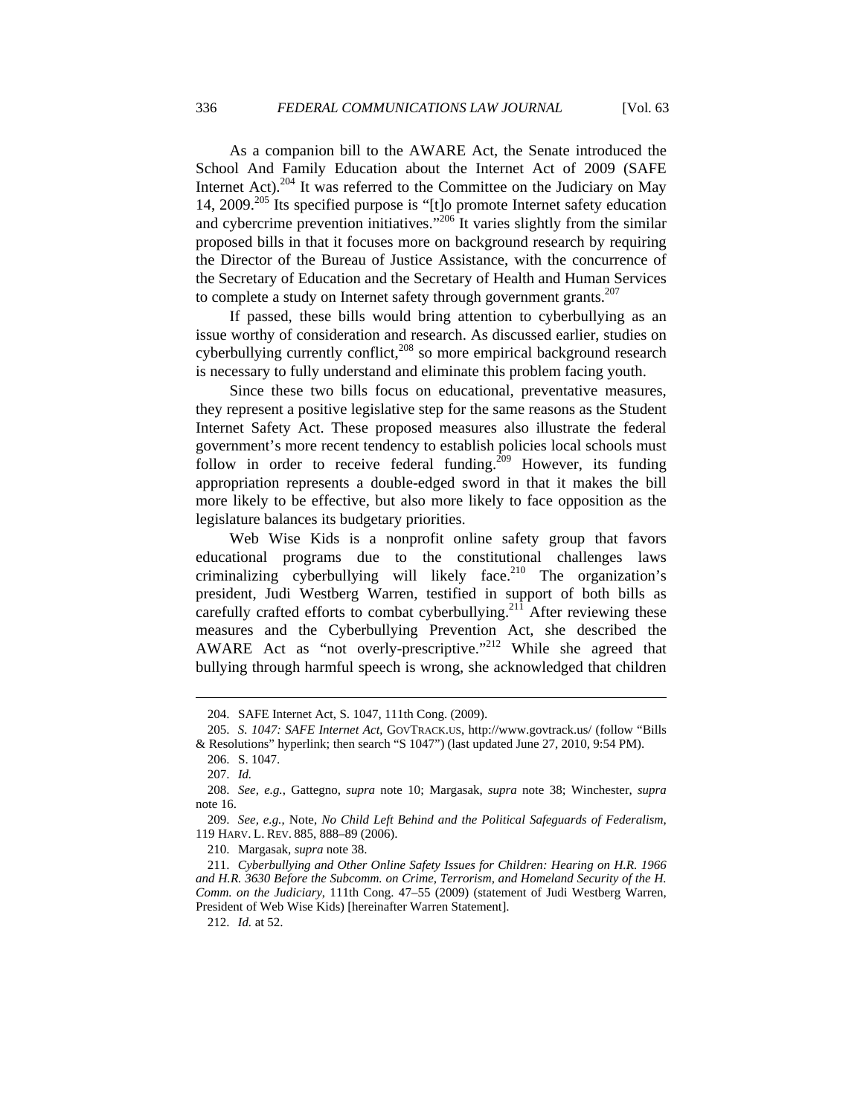As a companion bill to the AWARE Act, the Senate introduced the School And Family Education about the Internet Act of 2009 (SAFE Internet Act).204 It was referred to the Committee on the Judiciary on May 14, 2009.<sup>205</sup> Its specified purpose is "[t]o promote Internet safety education and cybercrime prevention initiatives."206 It varies slightly from the similar proposed bills in that it focuses more on background research by requiring the Director of the Bureau of Justice Assistance, with the concurrence of the Secretary of Education and the Secretary of Health and Human Services to complete a study on Internet safety through government grants. $207$ 

If passed, these bills would bring attention to cyberbullying as an issue worthy of consideration and research. As discussed earlier, studies on cyberbullying currently conflict, $208$  so more empirical background research is necessary to fully understand and eliminate this problem facing youth.

Since these two bills focus on educational, preventative measures, they represent a positive legislative step for the same reasons as the Student Internet Safety Act. These proposed measures also illustrate the federal government's more recent tendency to establish policies local schools must follow in order to receive federal funding.<sup>209</sup> However, its funding appropriation represents a double-edged sword in that it makes the bill more likely to be effective, but also more likely to face opposition as the legislature balances its budgetary priorities.

Web Wise Kids is a nonprofit online safety group that favors educational programs due to the constitutional challenges laws criminalizing cyberbullying will likely face.<sup>210</sup> The organization's president, Judi Westberg Warren, testified in support of both bills as carefully crafted efforts to combat cyberbullying.<sup>211</sup> After reviewing these measures and the Cyberbullying Prevention Act, she described the AWARE Act as "not overly-prescriptive."212 While she agreed that bullying through harmful speech is wrong, she acknowledged that children

 <sup>204.</sup> SAFE Internet Act, S. 1047, 111th Cong. (2009).

 <sup>205.</sup> *S. 1047: SAFE Internet Act*, GOVTRACK.US, http://www.govtrack.us/ (follow "Bills & Resolutions" hyperlink; then search "S 1047") (last updated June 27, 2010, 9:54 PM).

 <sup>206.</sup> S. 1047.

 <sup>207.</sup> *Id.*

 <sup>208.</sup> *See, e.g.*, Gattegno, *supra* note 10; Margasak, *supra* note 38; Winchester, *supra*  note 16.

 <sup>209.</sup> *See, e.g.*, Note, *No Child Left Behind and the Political Safeguards of Federalism*, 119 HARV. L. REV. 885, 888–89 (2006).

 <sup>210.</sup> Margasak, *supra* note 38.

 <sup>211.</sup> *Cyberbullying and Other Online Safety Issues for Children: Hearing on H.R. 1966 and H.R. 3630 Before the Subcomm. on Crime, Terrorism, and Homeland Security of the H. Comm. on the Judiciary*, 111th Cong. 47–55 (2009) (statement of Judi Westberg Warren, President of Web Wise Kids) [hereinafter Warren Statement].

 <sup>212.</sup> *Id.* at 52.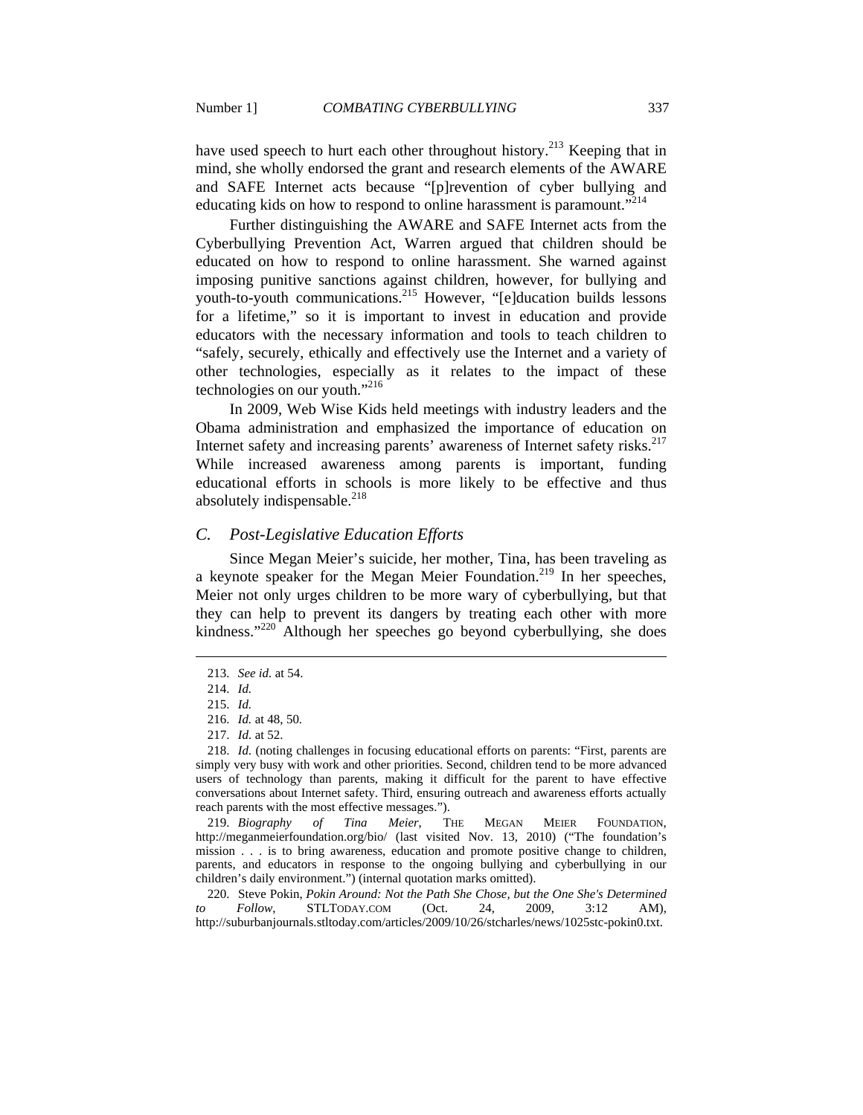have used speech to hurt each other throughout history.<sup>213</sup> Keeping that in mind, she wholly endorsed the grant and research elements of the AWARE and SAFE Internet acts because "[p]revention of cyber bullying and educating kids on how to respond to online harassment is paramount.<sup>"214</sup>

Further distinguishing the AWARE and SAFE Internet acts from the Cyberbullying Prevention Act, Warren argued that children should be educated on how to respond to online harassment. She warned against imposing punitive sanctions against children, however, for bullying and youth-to-youth communications.<sup>215</sup> However, "[e]ducation builds lessons for a lifetime," so it is important to invest in education and provide educators with the necessary information and tools to teach children to "safely, securely, ethically and effectively use the Internet and a variety of other technologies, especially as it relates to the impact of these technologies on our youth."<sup>216</sup>

In 2009, Web Wise Kids held meetings with industry leaders and the Obama administration and emphasized the importance of education on Internet safety and increasing parents' awareness of Internet safety risks.<sup>217</sup> While increased awareness among parents is important, funding educational efforts in schools is more likely to be effective and thus absolutely indispensable. $^{218}$ 

## *C. Post-Legislative Education Efforts*

Since Megan Meier's suicide, her mother, Tina, has been traveling as a keynote speaker for the Megan Meier Foundation.<sup>219</sup> In her speeches, Meier not only urges children to be more wary of cyberbullying, but that they can help to prevent its dangers by treating each other with more kindness."220 Although her speeches go beyond cyberbullying, she does

 $\overline{a}$ 

220. Steve Pokin, *Pokin Around: Not the Path She Chose, but the One She's Determined*<br>Follow, STLTODAY.COM (Oct. 24. 2009. 3:12 AM). *to Follow*, STLTODAY.COM (Oct. 24, 2009, 3:12 AM), http://suburbanjournals.stltoday.com/articles/2009/10/26/stcharles/news/1025stc-pokin0.txt.

 <sup>213.</sup> *See id.* at 54.

 <sup>214.</sup> *Id.*

 <sup>215.</sup> *Id.*

 <sup>216.</sup> *Id.* at 48, 50.

 <sup>217.</sup> *Id.* at 52.

 <sup>218.</sup> *Id.* (noting challenges in focusing educational efforts on parents: "First, parents are simply very busy with work and other priorities. Second, children tend to be more advanced users of technology than parents, making it difficult for the parent to have effective conversations about Internet safety. Third, ensuring outreach and awareness efforts actually reach parents with the most effective messages.").

 <sup>219.</sup> *Biography of Tina Meier*, THE MEGAN MEIER FOUNDATION, http://meganmeierfoundation.org/bio/ (last visited Nov. 13, 2010) ("The foundation's mission . . . is to bring awareness, education and promote positive change to children, parents, and educators in response to the ongoing bullying and cyberbullying in our children's daily environment.") (internal quotation marks omitted).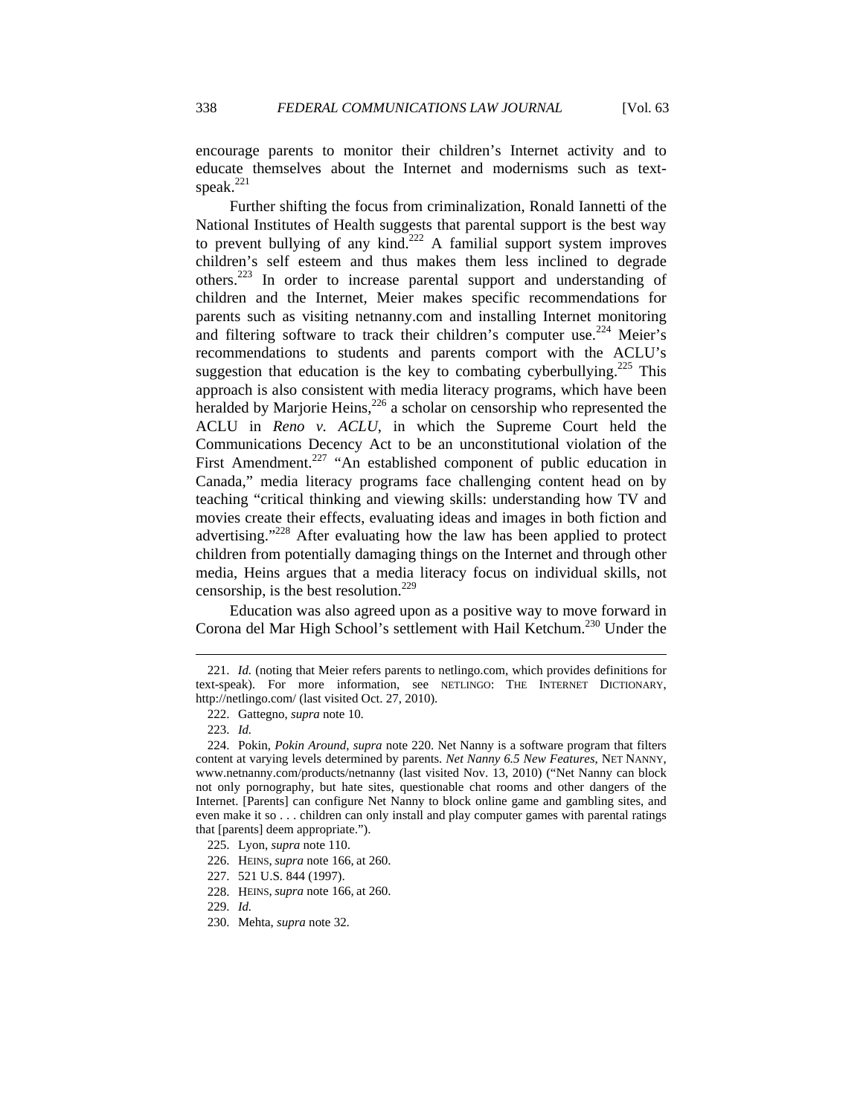encourage parents to monitor their children's Internet activity and to educate themselves about the Internet and modernisms such as textspeak.<sup>221</sup>

Further shifting the focus from criminalization, Ronald Iannetti of the National Institutes of Health suggests that parental support is the best way to prevent bullying of any kind.<sup>222</sup> A familial support system improves children's self esteem and thus makes them less inclined to degrade others.223 In order to increase parental support and understanding of children and the Internet, Meier makes specific recommendations for parents such as visiting netnanny.com and installing Internet monitoring and filtering software to track their children's computer use.<sup>224</sup> Meier's recommendations to students and parents comport with the ACLU's suggestion that education is the key to combating cyberbullying.<sup>225</sup> This approach is also consistent with media literacy programs, which have been heralded by Marjorie Heins, $226$  a scholar on censorship who represented the ACLU in *Reno v. ACLU*, in which the Supreme Court held the Communications Decency Act to be an unconstitutional violation of the First Amendment.<sup>227</sup> "An established component of public education in Canada," media literacy programs face challenging content head on by teaching "critical thinking and viewing skills: understanding how TV and movies create their effects, evaluating ideas and images in both fiction and advertising."<sup>228</sup> After evaluating how the law has been applied to protect children from potentially damaging things on the Internet and through other media, Heins argues that a media literacy focus on individual skills, not censorship, is the best resolution.<sup>229</sup>

Education was also agreed upon as a positive way to move forward in Corona del Mar High School's settlement with Hail Ketchum.<sup>230</sup> Under the

 <sup>221.</sup> *Id.* (noting that Meier refers parents to netlingo.com, which provides definitions for text-speak). For more information, see NETLINGO: THE INTERNET DICTIONARY, http://netlingo.com/ (last visited Oct. 27, 2010).

 <sup>222.</sup> Gattegno, *supra* note 10.

 <sup>223.</sup> *Id.*

 <sup>224.</sup> Pokin, *Pokin Around*, *supra* note 220. Net Nanny is a software program that filters content at varying levels determined by parents. *Net Nanny 6.5 New Features*, NET NANNY, www.netnanny.com/products/netnanny (last visited Nov. 13, 2010) ("Net Nanny can block not only pornography, but hate sites, questionable chat rooms and other dangers of the Internet. [Parents] can configure Net Nanny to block online game and gambling sites, and even make it so . . . children can only install and play computer games with parental ratings that [parents] deem appropriate.").

 <sup>225.</sup> Lyon, *supra* note 110.

 <sup>226.</sup> HEINS, *supra* note 166, at 260.

 <sup>227. 521</sup> U.S. 844 (1997).

 <sup>228.</sup> HEINS, *supra* note 166, at 260.

 <sup>229.</sup> *Id.*

 <sup>230.</sup> Mehta, *supra* note 32.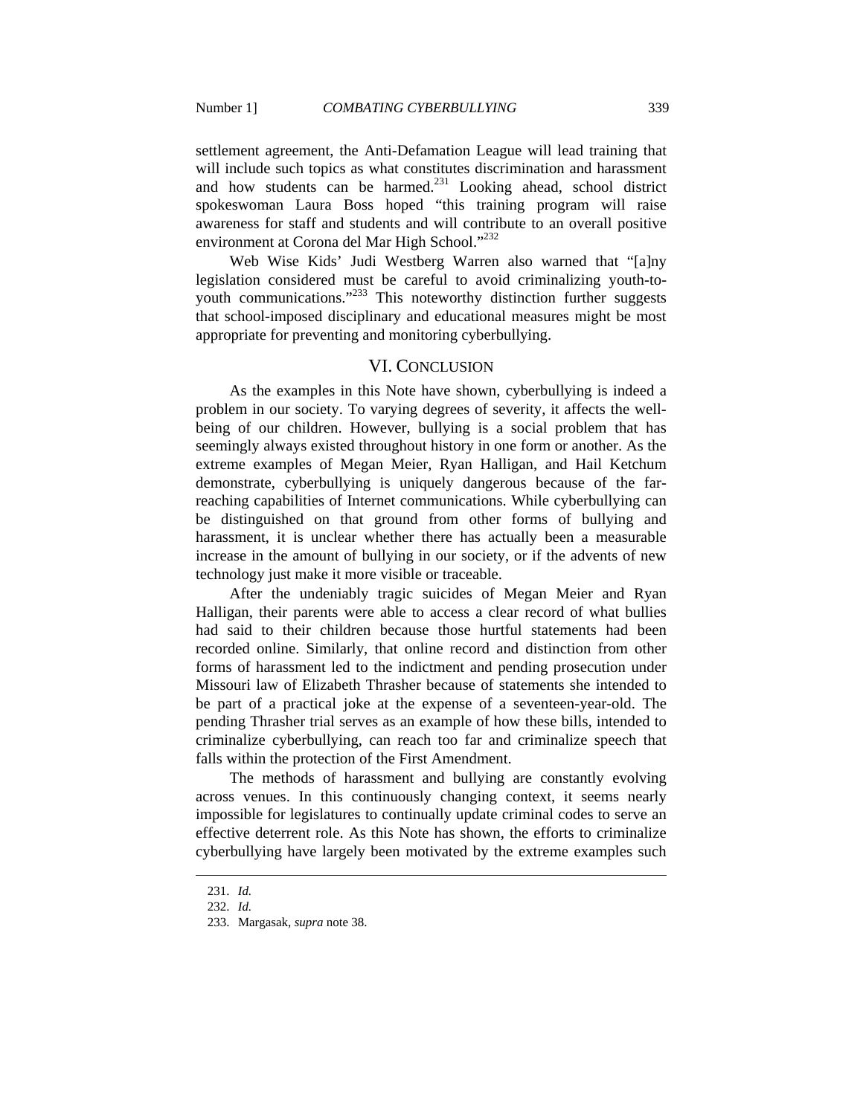settlement agreement, the Anti-Defamation League will lead training that will include such topics as what constitutes discrimination and harassment and how students can be harmed. $^{231}$  Looking ahead, school district spokeswoman Laura Boss hoped "this training program will raise awareness for staff and students and will contribute to an overall positive environment at Corona del Mar High School."<sup>232</sup>

Web Wise Kids' Judi Westberg Warren also warned that "[a]ny legislation considered must be careful to avoid criminalizing youth-toyouth communications."<sup>233</sup> This noteworthy distinction further suggests that school-imposed disciplinary and educational measures might be most appropriate for preventing and monitoring cyberbullying.

## VI. CONCLUSION

As the examples in this Note have shown, cyberbullying is indeed a problem in our society. To varying degrees of severity, it affects the wellbeing of our children. However, bullying is a social problem that has seemingly always existed throughout history in one form or another. As the extreme examples of Megan Meier, Ryan Halligan, and Hail Ketchum demonstrate, cyberbullying is uniquely dangerous because of the farreaching capabilities of Internet communications. While cyberbullying can be distinguished on that ground from other forms of bullying and harassment, it is unclear whether there has actually been a measurable increase in the amount of bullying in our society, or if the advents of new technology just make it more visible or traceable.

After the undeniably tragic suicides of Megan Meier and Ryan Halligan, their parents were able to access a clear record of what bullies had said to their children because those hurtful statements had been recorded online. Similarly, that online record and distinction from other forms of harassment led to the indictment and pending prosecution under Missouri law of Elizabeth Thrasher because of statements she intended to be part of a practical joke at the expense of a seventeen-year-old. The pending Thrasher trial serves as an example of how these bills, intended to criminalize cyberbullying, can reach too far and criminalize speech that falls within the protection of the First Amendment.

The methods of harassment and bullying are constantly evolving across venues. In this continuously changing context, it seems nearly impossible for legislatures to continually update criminal codes to serve an effective deterrent role. As this Note has shown, the efforts to criminalize cyberbullying have largely been motivated by the extreme examples such

 <sup>231.</sup> *Id.*

 <sup>232.</sup> *Id.*

 <sup>233.</sup> Margasak, *supra* note 38.